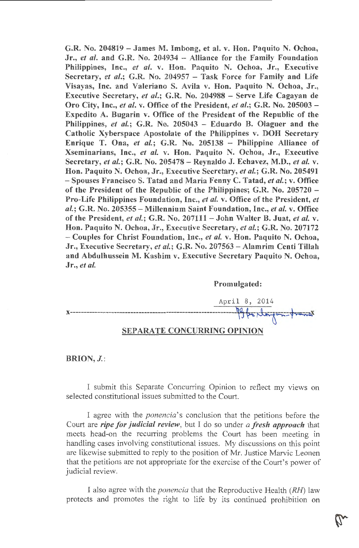G.R. No. 204819 - James M. Imbong, et al. v. Hon. Paquito N. Ochoa, Jr., *et al.* and G.R. No. 204934 - Alliance for the Family Foundation Philippines, Inc., *et al.* v. Hon. Paquito N. Ochoa, Jr., Executive Secretary, *et al.*; G.R. No. 204957 - Task Force for Family and Life Visayas, Inc. and Valeriano S. Avila v. Hon. Paquito N. Ochoa, Jr., Executive Secretary, *et al.;* G.R. No. 204988 - Serve Life Cagayan de Oro City, Inc., *et al.* v. Office of the President, *et al.;* G.R. No. 205003 - Expedito A. Bugarin v. Office of the President of the Republic of the Philippines, *et al,;* G.R. No. 205043 - Eduardo B. Olaguer and the Catholic Xyberspace Apostolate of the Philippines v. DOH Secretary Enrique T. Ona, *et al.;* G.R. No. 205138 - Philippine Alliance of Xseminarians, Inc., *et al.* v. Hon. Paquito N. Ochoa, Jr., Executive Secretary, *et al.;* G.R. No. 205478 - Reynaldo J. Echavez, M.D., *et al.* v. Hon. Paquito N. Ochoa, Jr., Executive Secretary, *et al.;* G.R. No. 205491 - Spouses Francisco S. Tatad and Maria Fenny C. Tatad, *et al.;* v. Office of the President of the Republic of the Philippines; G.R. No. 205720 - Pro-Life Philippines Foundation, Inc., *et al.* v. Office of the President, *et al.;* G.R. No. 205355 - Millennium Saint Foundation, Inc., *et al.* v. Office of the President, *et al.;* G.R. No. 207111 - John Walter B. Juat, *et al.* v. Hon. Paquito N. Ochoa, Jr., Executive Secretary, *et al.;* G.R. No. 207172 - Couples for Christ Foundation, Inc., *et al.* v. Hon. Paquito N. Ochoa, Jr., Executive Secretary, *et al.;* G.R. No. 207563 - Alamrim Centi Tillah and Abdulhussein M. Kashim v. Executive Secretary Paquito N. Ochoa, Jr., *et al.* 

#### Promulgated:



### BRION, *J.*:

I submit this Separate Concurring Opinion to reflect my views on selected constitutional issues submitted to the Court.

I agree with the *ponencia's* conclusion that the petitions before the Court are *ripe for judicial review,* but I do so under *a fresh approach* that meets head-on the recurring problems the Court has been meeting in handling cases involving constitutional issues. My discussions on this point are likewise submitted to reply to the position of Mr. Justice Marvic Leonen that the petitions are not appropriate for the exercise of the Court's power of judicial review.

I also agree with the *ponencia* that the Reproductive Health (RH) law protects and promotes the right to life by its continued prohibition on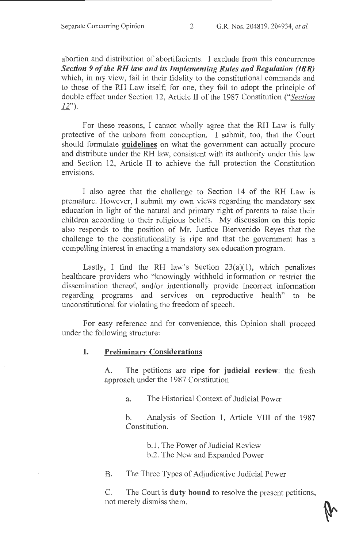abortion and distribution of abortifacients. I exclude from this concurrence *Section 9 of the RH law and its Implementing Rules and Regulation (IRR)*  which, in my view, fail in their fidelity to the constitutional commands and to those of the RH Law itself; for one, they fail to adopt the principle of double effect under Section 12, Article II of the 1987 Constitution *("Section 12").* 

For these reasons, I cannot wholly agree that the RH Law is fully protective of the unborn from conception. I submit, too, that the Court should formulate guidelines on what the government can actually procure and distribute under the RH law, consistent with its authority under this law and Section 12, Article II to achieve the full protection the Constitution envisions.

I also agree that the challenge to Section 14 of the RH Law is premature. However, I submit my own views regarding the mandatory sex education in light of the natural and primary right of parents to raise their children according to their religious beliefs. My discussion on this topic also responds to the position of Mr. Justice Bienvenido Reyes that the challenge to the constitutionality is ripe and that the government has a compelling interest in enacting a mandatory sex education program.

Lastly, I find the RH law's Section  $23(a)(1)$ , which penalizes healthcare providers who "knowingly withhold information or restrict the dissemination thereof, and/or intentionally provide incorrect information regarding programs and services on reproductive health" to be unconstitutional for violating the freedom of speech.

For easy reference and for convenience, this Opinion shall proceed under the following structure:

# I. Preliminary Considerations

A. The petitions are ripe for judicial review: the fresh approach under the 1987 Constitution

a. The Historical Context of Judicial Power

b. Analysis of Section 1, Article VIII of the 1987 Constitution.

b. 1. The Power of Judicial Review

b.2. The New and Expanded Power

B. The Three Types of Adjudicative Judicial Power

C. The Court is duty bound to resolve the present petitions, not merely dismiss them.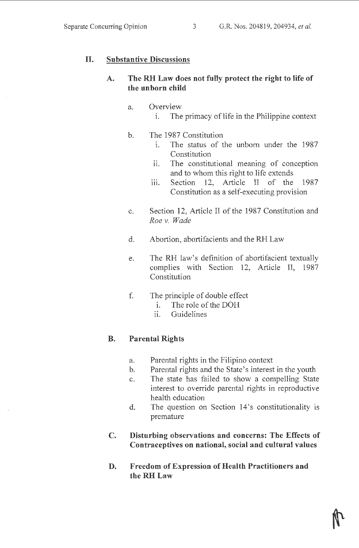# **II. Substantive Discussions**

# **A. The RH Law does not fully protect the right to life of the unborn child**

- a. Overview
	- i. The primacy of life in the Philippine context
- b. The 1987 Constitution
	- i. The status of the unborn under the 1987 Constitution
	- ii. The constitutional meaning of conception and to whom this right to life extends
	- iii. Section 12, Article II of the 1987 Constitution as a self-executing provision
- c. Section 12, Article II of the 1987 Constitution and *Roev. Wade*
- d. Abortion, abortifacients and the RH Law
- e. The RH law's definition of abortifacient textually complies with Section 12, Article II, 1987 Constitution
- f. The principle of double effect
	- 1. The role of the DOH
	- ii. Guidelines

# **B. Parental Rights**

- a. Parental rights in the Filipino context
- b. Parental rights and the State's interest in the youth
- c. The state has failed to show a compelling State interest to override parental rights in reproductive health education
- d. The question on Section 14's constitutionality is premature
- **C. Disturbing observations and concerns: The Effects of Contraceptives on national, social and cultural values**
- **D. Freedom of Expression of Health Practitioners and the RH Law**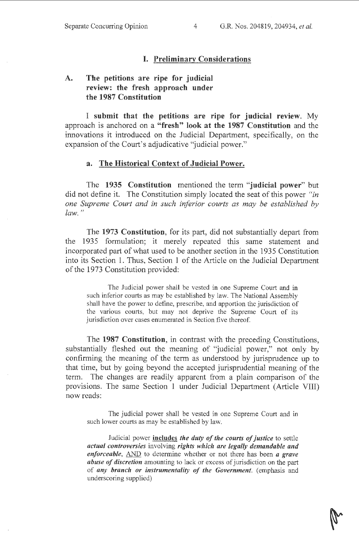# I. Preliminary Considerations

# A. The petitions are ripe for judicial review: the fresh approach under the 1987 Constitution

I submit that the petitions are ripe for judicial review. My approach is anchored on a "fresh" look at the 1987 Constitution and the innovations it introduced on the Judicial Department, specifically, on the expansion of the Court's adjudicative "judicial power."

#### a. The Historical Context of Judicial Power.

The 1935 Constitution mentioned the term "judicial power" but did not define it. The Constitution simply located the seat of this power *"in one Supreme Court and in such inferior courts as may be established by*   $law.$ "

The 1973 Constitution, for its part, did not substantially depart from the 1935 formulation; it merely repeated this same statement and incorporated part of what used to be another section in the 1935 Constitution into its Section 1. Thus, Section 1 of the Article on the Judicial Department of the 1973 Constitution provided:

The Judicial power shall be vested in one Supreme Court and in such inferior courts as may be established by law. The National Assembly shall have the power to define, prescribe, and apportion the jurisdiction of the various courts, but may not deprive the Supreme Court of its jurisdiction over cases enumerated in Section five thereof.

The 1987 Constitution, in contrast with the preceding Constitutions, substantially fleshed out the meaning of "judicial power," not only by confirming the meaning of the term as understood by jurisprudence up to that time, but by going beyond the accepted jurisprudential meaning of the term. The changes are readily apparent from a plain comparison of the provisions. The same Section 1 under Judicial Department (Article VIII) now reads:

The judicial power shall be vested in one Supreme Court and in such lower courts as may be established by law.

Judicial power includes *the duty of the courts of justice* to settle *actual controversies* involving *rights which are legally demandable and enforceable,* AND to determine whether or not there has been *a grave abuse of discretion* amounting to lack or excess of jurisdiction on the part of *any branch or instrumentality of the Government.* (emphasis and underscoring supplied)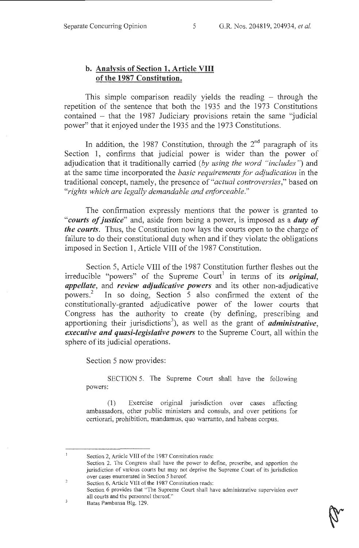# **b. Analysis of Section 1, Article VIII of the 1987 Constitution.**

This simple comparison readily yields the reading – through the repetition of the sentence that both the 1935 and the 1973 Constitutions contained  $-$  that the 1987 Judiciary provisions retain the same "judicial power" that it enjoyed under the 1935 and the 1973 Constitutions.

In addition, the 1987 Constitution, through the  $2<sup>nd</sup>$  paragraph of its Section 1, confirms that judicial power is wider than the power of adjudication that it traditionally carried *(by using the word "includes")* and at the same time incorporated the *basic requirements for adjudication* in the traditional concept, namely, the presence of *"actual controversies,"* based on *"rights which are legally demandable and enforceable."* 

The confirmation expressly mentions that the power is granted to *"courts of justice"* and, aside from being a power, is imposed as a *duty of the courts.* Thus, the Constitution now lays the courts open to the charge of failure to do their constitutional duty when and if they violate the obligations imposed in Section 1, Article VIII of the 1987 Constitution.

Section 5, Article VIII of the 1987 Constitution further fleshes out the irreducible "powers" of the Supreme Court<sup>1</sup> in terms of its *original*, *appellate,* and *review adjudicative powers* and its other non-adjudicative powers. 2 In so doing, Section 5 also confirmed the extent of the constitutionally-granted adjudicative power of the lower courts that Congress has the authority to create (by defining, prescribing and apportioning their jurisdictions<sup>3</sup>), as well as the grant of *administrative*, *executive and quasi-legislative powers* to the Supreme Court, all within the sphere of its judicial operations.

Section 5 now provides:

SECTION 5. The Supreme Court shall have the following powers:

(1) Exercise original jurisdiction over cases affecting ambassadors, other public ministers and consuls, and over petitions for certiorari, prohibition, mandamus, quo warranto, and habeas corpus.

 $\mathfrak{I}$ 

 $\mathbf{I}$ Section 2, Article VIII of the 1987 Constitution reads:

Section 2. The Congress shall have the power to define, prescribe, and apportion the jurisdiction of various courts but may not deprive the Supreme Court of its jurisdiction over cases enumerated in Section 5 hereof.

<sup>2</sup>  Section 6, Article Vlll of the 1987 Constitution reads:

Section 6 provides that "The Supreme Court shall have administrative supervision over all courts and the personnel thereof."

Batas Pambansa Big. 129.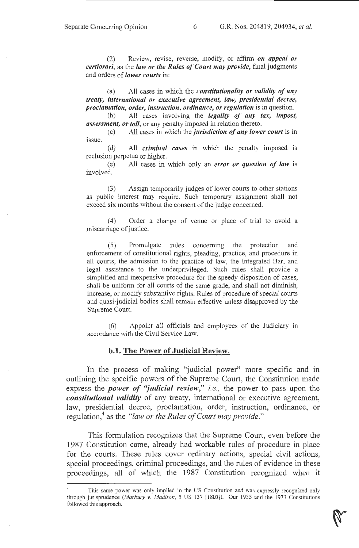(2) Review, revise, reverse, modify, or affirm *on appeal or certiorari,* as the *law or the Rules of Court may provide,* final judgments and orders of *lower courts* in:

(a) All cases in which the *constitutionality or validity of any treaty, international or executive agreement, law, presidential decree, proclamation, order, instruction, ordinance, or regulation* is in question.

(b) All cases involving the *legality of any tax, impost, assessment, or toll,* or any penalty imposed in relation thereto.

( c) All cases in which the *jurisdiction of any lower court* is in issue.

( d) All *criminal cases* in which the penalty imposed is reclusion perpetua or higher.

(e) All cases in which only an *error or question of law* is involved.

(3) Assign temporarily judges of lower courts to other stations as public interest may require. Such temporary assignment shall not exceed six months without the consent of the judge concerned.

( 4) Order a change of venue or place of trial to avoid a miscarriage of justice.

(5) Promulgate rules concerning the protection and enforcement of constitutional rights, pleading, practice, and procedure in all courts, the admission to the practice of law, the Integrated Bar, and legal assistance to the underprivileged. Such rules shall provide a simplified and inexpensive procedure for the speedy disposition of cases, shall be uniform for all courts of the same grade, and shall not diminish, increase, or modify substantive rights. Rules of procedure of special courts and quasi-judicial bodies shall remain effective unless disapproved by the Supreme Court.

(6) Appoint all officials and employees of the Judiciary m accordance with the Civil Service Law.

#### b.1. The Power of Judicial Review.

In the process of making "judicial power" more specific and in outlining the specific powers of the Supreme Court, the Constitution made express the *power of ''judicial review," i.e.,* the power to pass upon the *constitutional validity* of any treaty, international or executive agreement, law, presidential decree, proclamation, order, instruction, ordinance, or regulation,<sup>4</sup> as the "law or the Rules of Court may provide."

This formulation recognizes that the Supreme Court, even before the 1987 Constitution came, already had workable rules of procedure in place for the courts. These rules cover ordinary actions, special civil actions, special proceedings, criminal proceedings, and the rules of evidence in these proceedings, all of which the 1987 Constitution recognized when it

This same power was only implied in the US Constitution and was expressly recognized only through jurisprudence *(Marbury v. Madison,* 5 US 137 [!803]). Our 1935 and the 1973 Constitutions followed this approach.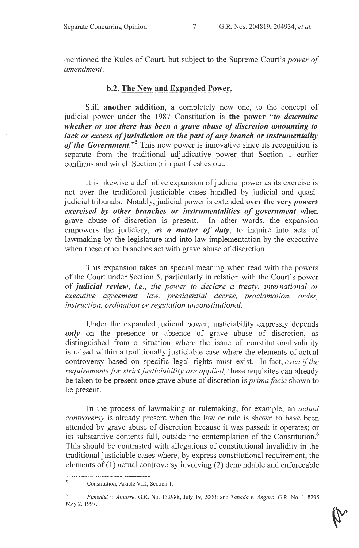mentioned the Rules of Court, but subject to the Supreme Court's *power of amendment.* 

### b.2. The New and Expanded Power.

Still another addition, a completely new one, to the concept of judicial power under the 1987 Constitution is the power *"to determine whether or not there has been a grave abuse of discretion amounting to lack or excess of jurisdiction on the part of any branch or instrumentality*  of the Government."<sup>5</sup> This new power is innovative since its recognition is separate from the traditional adjudicative power that Section 1 earlier confirms and which Section 5 in part fleshes out.

It is likewise a definitive expansion of judicial power as its exercise is not over the traditional justiciable cases handled by judicial and quasijudicial tribunals. Notably, judicial power is extended over the very *powers exercised by other branches or instrumentalities of government* when grave abuse of discretion is present. In other words, the expansion empowers the judiciary, **as a matter of duty**, to inquire into acts of lawmaking by the legislature and into law implementation by the executive when these other branches act with grave abuse of discretion.

This expansion takes on special meaning when read with the powers of the Court under Section 5, particularly in relation with the Court's power of *judicial review, i.e., the power to declare a treaty, international or executive agreement, law, presidential decree, proclamation, order, instruction, ordination or regulation unconstitutional.* 

Under the expanded judicial power, justiciability expressly depends *only* on the presence or absence of grave abuse of discretion, as distinguished from a situation where the issue of constitutional validity is raised within a traditionally justiciable case where the elements of actual controversy based on specific legal rights must exist. In fact, *even* if *the requirements for strict justiciability are applied,* these requisites can already be taken to be present once grave abuse of discretion is *prima facie* shown to be present.

In the process of lawmaking or rulemaking, for example, an *actual controversy* is already present when the law or rule is shown to have been attended by grave abuse of discretion because it was passed; it operates; or its substantive contents fall, outside the contemplation of the Constitution.<sup>6</sup> This should be contrasted with allegations of constitutional invalidity in the traditional justiciable cases where) by express constitutional requirement, the elements of (1) actual controversy involving (2) demandable and enforceable

 $\overline{\mathbf{S}}$ Constitution, Article Vlll, Section 1,

<sup>6</sup>*Pimentel v. Aguirre,* G.R. No. 132988, July 19, 2000; and *Tanada v. Angara,* G.R. No. 118295 May 2, 1997.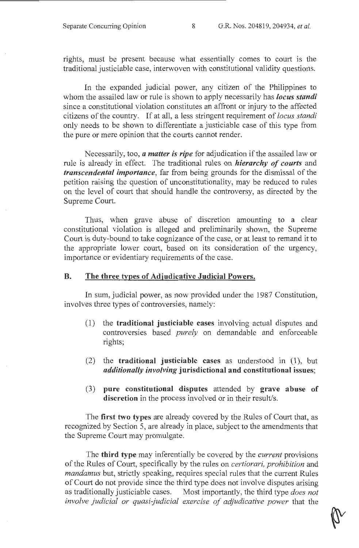rights, must be present because what essentially comes to court is the traditional justiciable case, interwoven with constitutional validity questions.

In the expanded judicial power, any citizen of the Philippines to whom the assailed law or rule is shown to apply necessarily has *locus standi*  since a constitutional violation constitutes an affront or injury to the affected citizens of the country. If at all, a less stringent requirement of *locus standi*  only needs to be shown to differentiate a justiciable case of this type from the pure or mere opinion that the courts cannot render.

Necessarily, too, *a matter is ripe* for adjudication if the assailed law or rule is already in effect. The traditional rules on *hierarchy of courts* and *transcendental importance,* far from being grounds for the dismissal of the petition raising the question of unconstitutionality, may be reduced to rules on the level of court that should handle the controversy, as directed by the Supreme Court.

Thus, when grave abuse of discretion amounting to a clear constitutional violation is alleged and preliminarily shown, the Supreme Court is duty-bound to take cognizance of the case, or at least to remand it to the appropriate lower court, based on its consideration of the urgency, importance or evidentiary requirements of the case.

# **B. The three types of Adjudicative Judicial Powers.**

In sum, judicial power, as now provided under the 1987 Constitution, involves three types of controversies, namely:

- (1) the **traditional justiciable cases** involving actual disputes and controversies based *purely* on demandable and enforceable rights;
- (2) the **traditional justiciable cases** as understood in (1), but *additionally involving* **jurisdictional and constitutional issues;**
- (3) **pure constitutional disputes** attended by **grave abuse of discretion** in the process involved or in their result/s.

The **first two types** are already covered by the Rules of Court that, as recognized by Section 5, are already in place, subject to the amendments that the Supreme Court may promulgate.

The **third type** may inferentially be covered by the *current* provisions of the Rules of Court, specifically by the rules on *certiorari, prohibition* and *mandamus* but, strictly speaking, requires special rules that the current Rules of Court do not provide since the third type does not involve disputes arising as traditionally justiciable cases. Most importantly, the third type *does not* Most importantly, the third type *does not involve judicial or quasi-judicial exercise of adjudicative power* that the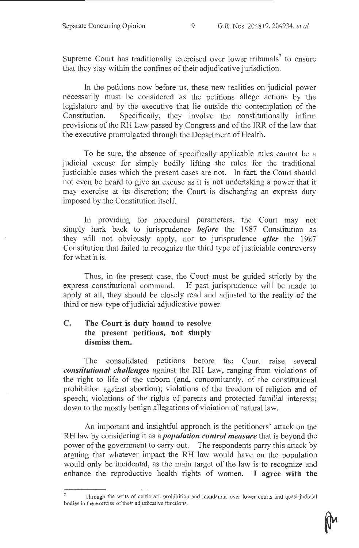Supreme Court has traditionally exercised over lower tribunals<sup>7</sup> to ensure that they stay within the confines of their adjudicative jurisdiction.

In the petitions now before us, these new realities on judicial power necessarily must be considered as the petitions allege actions by the legislature and by the executive that lie outside the contemplation of the Constitution. Specifically, they involve the constitutionally infirm provisions of the RH Law passed by Congress and of the IRR of the law that the executive promulgated through the Department of Health.

To be sure, the absence of specifically applicable rules cannot be a judicial excuse for simply bodily lifting the rules for the traditional justiciable cases which the present cases are not. In fact, the Court should not even be heard to give an excuse as it is not undertaking a power that it may exercise at its discretion; the Court is discharging an express duty imposed by the Constitution itself.

In providing for procedural parameters, the Court may not simply hark back to jurisprudence *before* the 1987 Constitution as they will not obviously apply, nor to jurisprudence *after* the 1987 Constitution that failed to recognize the third type of justiciable controversy for what it is.

Thus, in the present case, the Court must be guided strictly by the express constitutional command. If past jurisprudence will be made to apply at all, they should be closely read and adjusted to the reality of the third or new type of judicial adjudicative power.

# **C. The Court is duty bound to resolve the present petitions, not simply dismiss them.**

The consolidated petitions before the Court raise several *constitutional challenges* against the RH Law, ranging from violations of the right to life of the unborn (and, concomitantly, of the constitutional prohibition against abortion); violations of the freedom of religion and of speech; violations of the rights of parents and protected familial interests; down to the mostly benign allegations of violation of natural law.

An important and insightful approach is the petitioners' attack on the RH law by considering it as a *population control measure* that is beyond the power of the government to carry out. The respondents parry this attack by arguing that whatever impact the RH law would have on the population would only be incidental, as the main target of the law is to recognize and enhance the reproductive health rights of women. I **agree with the** 

Through the writs of certiorari, prohibition and mandamus over lower courts and quasi-judicial bodies in the exercise of their adjudicative functions.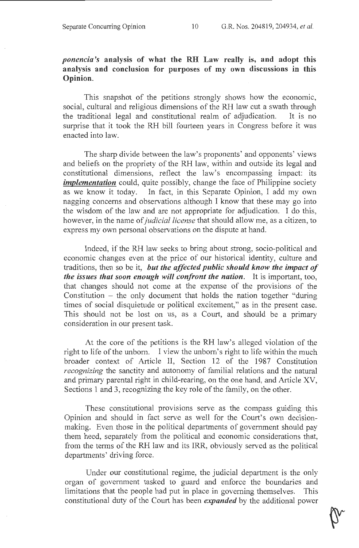# *ponencia's* analysis of what the RH Law really is, and adopt this analysis and conclusion for purposes of my own discussions in this Opinion.

This snapshot of the petitions strongly shows how the economic, social, cultural and religious dimensions of the RH law cut a swath through the traditional legal and constitutional realm of adjudication. It is no surprise that it took the RH bill fourteen years in Congress before it was enacted into law.

The sharp divide between the law's proponents' and opponents' views and beliefs on the propriety of the RH law, within and outside its legal and constitutional dimensions, reflect the law's encompassing impact: its *implementation* could, quite possibly, change the face of Philippine society as we know it today. In fact, in this Separate Opinion, I add my own nagging concerns and observations although I know that these may go into the wisdom of the law and are not appropriate for adjudication. I do this, however, in the name of *judicial license* that should allow me, as a citizen, to express my own personal observations on the dispute at hand.

Indeed, if the RH law seeks to bring about strong, socio-political and economic changes even at the price of our historical identity, culture and traditions, then so be it, *but the affected public should know the impact of the issues that soon enough will confront the nation.* It is important, too, that changes should not come at the expense of the provisions of the Constitution  $-$  the only document that holds the nation together "during" times of social disquietude or political excitement," as in the present case. This should not be lost on us, as a Court, and should be a primary consideration in our present task.

At the core of the petitions is the RH law's alleged violation of the right to life of the unborn. I view the unborn's right to life within the much broader context of Article II, Section 12 of the 1987 Constitution *recognizing* the sanctity and autonomy of familial relations and the natural and primary parental right in child-rearing, on the one hand, and Article XV, Sections 1 and 3, recognizing the key role of the family, on the other.

These constitutional provisions serve as the compass guiding this Opinion and should in fact serve as well for the Court's own decisionmaking. Even those in the political departments of government should pay them heed, separately from the political and economic considerations that, from the terms of the RH law and its IRR, obviously served as the political departments' driving force.

Under our constitutional regime, the judicial department is the only organ of government tasked to guard and enforce the boundaries and limitations that the people had put in place in governing themselves. This constitutional duty of the Court has been *expanded* by the additional power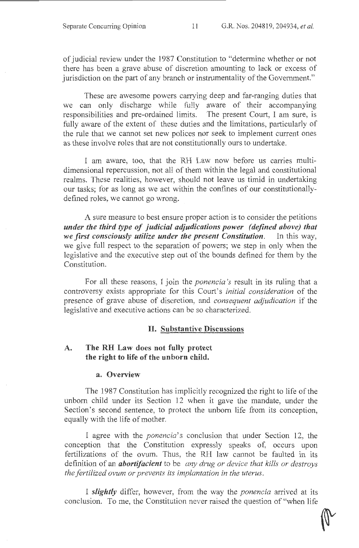of judicial review under the 1987 Constitution to "determine whether or not there has been a grave abuse of discretion amounting to lack or excess of jurisdiction on the part of any branch or instrumentality of the Government."

These are awesome powers carrying deep and far-ranging duties that we can only discharge while fully aware of their accompanying responsibilities and pre-ordained limits. The present Court, I am sure, is fully aware of the extent of these duties and the limitations, particularly of the rule that we cannot set new polices nor seek to implement current ones as these involve roles that are not constitutionally ours to undertake.

I am aware, too, that the RH Law now before us carries multidimensional repercussion, not all of them within the legal and constitutional realms. These realities, however, should not leave us timid in undertaking our tasks; for as long as we act within the confines of our constitutionallydefined roles, we cannot go wrong.

A sure measure to best ensure proper action is to consider the petitions *under the third type of judicial adjudications power (defined above) that we first consciously utilize under the present Constitution.* In this way, we give full respect to the separation of powers; we step in only when the legislative and the executive step out of the bounds defined for them by the Constitution.

For all these reasons, I join the *ponencia 's* result in its ruling that a controversy exists appropriate for this Court's *initial consideration* of the presence of grave abuse of discretion: and *consequent adjudication* if the legislative and executive actions can be so characterized.

### **II. Substantive Discussions**

### **A. The RH Law does not fully protect the right to life of the unborn child.**

#### **a. Overview**

The 1987 Constitution has implicitly recognized the right to life of the unborn child under its Section 12 when it gave the mandate, under the Section's second sentence, to protect the unborn life from its conception, equally with the life of mother.

I agree with the *ponencia's* conclusion that under Section 12, the conception that the Constitution expressly speaks of, occurs upon fertilizations of the ovum. Thus, the RH law cannot be faulted in its definition of an *abortifacient* to be *any drug or device that kills or destroys the fertilized ovum or prevents its implantation in the uterus.* 

I *slightly* differ, however, from the way the *ponencia* arrived at its conclusion. To me, the Constitution never raised the question of "when life

 $\sqrt{2}$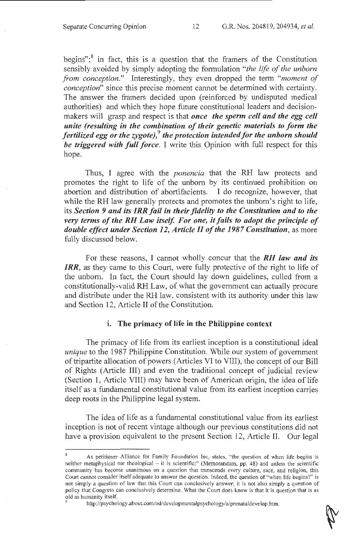begins"; $\delta$  in fact, this is a question that the framers of the Constitution sensibly avoided by simply adopting the formulation *"the life of the unborn from conception."* Interestingly, they even dropped the term *"moment of conception"* since this precise moment cannot be determined with certainty. The answer the framers decided upon (reinforced by undisputed medical authorities) and which they hope future constitutional leaders and decisionmakers will grasp and respect is that *once the sperm cell and the egg cell unite (resulting in the combination of their genetic materials to form the fertilized egg or the zygote),9 the protection intended for the unborn should be triggered with full force.* I write this Opinion with full respect for this hope.

Thus, I agree with the *ponencia* that the RH law protects and promotes the right to life of the unborn by its continued prohibition on abortion and distribution of abortifacients. I do recognize, however, that while the RH law generally protects and promotes the unborn's right to life, its *Section 9 and its IRR fail in their fidelity to the Constitution and to the very terms of the RH Law itself. For one, it fails to adopt the principle of double effect under Section 12, Article II of the 1987 Constitution,* as more fully discussed below.

For these reasons, I cannot wholly concur that the *RH law and its IRR,* as they came to this Court, were fully protective of the right to life of the unborn. In fact, the Court should lay down guidelines, culled from a constitutionally-valid RH Law, of what the government can actually procure and distribute under the RH law, consistent with its authority under this law and Section 12, Article II of the Constitution.

### i. The primacy of life in the Philippine context

The primacy of life from its earliest inception is a constitutional ideal *unique* to the 1987 Philippine Constitution. While our system of government of tripartite allocation of powers (Articles VI to VIII), the concept of our Bill of Rights (Article III) and even the traditional concept of judicial review (Section 1, Article VIII) may have been of American origin, the idea of life itself as a fundamental constitutional value from its earliest inception carries deep roots in the Philippine legal system.

The idea of life as a fundamental constitutional value from its earliest inception is not of recent vintage although our previous constitutions did not have a provision equivalent to the present Section 12, Article II. Our legal

As petitioner Alliance for Family Foundation Inc, states, "the question of when life begins is neither metaphysical nor theological - it is scientific;" (Memorandum, pp. 48) and unless the scientific community has become unanimous on a question that transcends every culture, race, and religion, this Court cannot consider itself adequate to answer the question. Indeed, the question of "when life begins?" is not simply a question of law that this Court can conclusively answer; it is not also simply a question of policy that Congress can conclusively determine. What the Court does know is that it is question that is as old as humanity itself.

<sup>9</sup> http://psychology.about.com/od/developmentalpsychology/a/prenataldevelop.htm.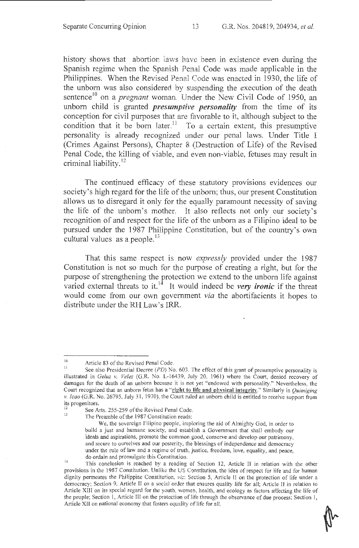history shows that abortion laws have been in existence even during the Spanish regime when the Spanish Penal Code was made applicable in the Philippines. When the Revised Penal Code was enacted in 1930, the life of the unborn was also considered by suspending the execution of the death sentence<sup>10</sup> on a *pregnant* woman. Under the New Civil Code of 1950, an unborn child is granted *presumptive personality* from the time of its conception for civil purposes that are favorable to it, although subject to the condition that it be born later.<sup>11</sup> To a certain extent, this presumptive personality is already recognized under our penal laws. Under Title I (Crimes Against Persons), Chapter 8 (Destruction of Life) of the Revised Penal Code, the killing of viable, and even non-viable, fetuses may result in criminal liability.<sup>12</sup>

The continued efficacy of these statutory provisions evidences our society's high regard for the life of the unborn; thus, our present Constitution allows us to disregard it only for the equally paramount necessity of saving the life of the unborn's mother. It also reflects not only our society's recognition of and respect for the life of the unborn as a Filipino ideal to be pursued under the 1987 Philippine Constitution, but of the country's own cultural values as a people. $^{13}$ 

That this same respect is now *expressly* provided under the 1987 Constitution is not so much for the purpose of creating a right, but for the purpose of strengthening the protection we extend to the unborn life against varied external threats to it.<sup>14</sup> It would indeed be *very ironic* if the threat would come from our own government *via* the abortifacients it hopes to distribute under the RH Law's IRR.

<sup>&</sup>lt;sup>10</sup> Article 83 of the Revised Penal Code.<br><sup>11</sup> See also Presidential Decree (*PD*) No. 603. The effect of this grant of presumptive personality is illustrated in *Ge/uz v. Velez* (G.R. No. L-16439, July 20, 1961) where the Court, denied recovery of damages for the death of an unborn because it is not yet "endowed with personality." Nevertheless, the Court recognized that an unborn fetus has a "right to life and physical integrity." Similarly in *Quimiging v. lcao* (G.R. No. 26795, July 31, 1970), the Court ruled an unborn child is entitled to receive support from

its progenitors.<br><sup>12</sup> See Arts. 255-259 of the Revised Penal Code.<br><sup>13</sup> The Presmble of the 1987 Constitution used:

The Preamble of the 1987 Constitution reads:

We, the sovereign Filipino people, imploring the aid of Almighty God, in order to build a just and humane society, and establish a Government that shall embody our ideals and aspirations, promote the common good, conserve and develop our patrimony, and secure to ourselves and our posterity, the blessings of independence and democracy under the rule of law and a regime of truth, justice, freedom, love, equality, and peace, do ordain and promulgate this Constitution.

This conclusion is reached by a reading of Section 12, Article II in relation with the other provisions in the 1987 Constitution. Unlike the US Constitution, the idea of respect for life and for human dignity penneates the Philippine Constitution, viz: Section 5, Article II on the protection of life under a democracy; Section 9, Article 11 on a social order that ensures quality life for all; Article 11 in relation to Article XIII on its special regard for the youth, women, health, and ecology as factors affecting the life of the people; Section 1, Article lll on the protection of life through the observance of due process; Section I, Article Xll on national economy that fosters equality of life for all.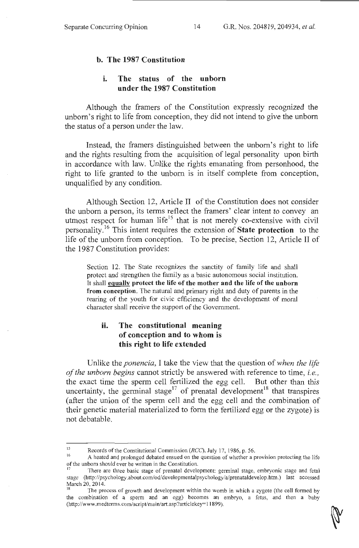### **b. The 1987 Constitution**

## **i. The status of the unborn under the 1987 Constitution**

Although the framers of the Constitution expressly recognized the unborn's right to life from conception, they did not intend to give the unborn the status of a person under the law.

Instead, the framers distinguished between the unborn's right to life and the rights resulting from the acquisition of legal personality upon birth in accordance with law. Unlike the rights emanating from personhood, the right to life granted to the unborn is in itself complete from conception, unqualified by any condition.

Although Section 12, Article II of the Constitution does not consider the unborn a person, its terms reflect the framers' clear intent to convey an utmost respect for human life<sup>15</sup> that is not merely co-extensive with civil personality. 16 This intent requires the extension of **State protection** to the life of the unborn from conception. To be precise, Section 12, Article II of the 1987 Constitution provides:

Section 12. The State recognizes the sanctity of family life and shall protect and strengthen the family as a basic autonomous social institution. It shall **equally protect the life of the mother and the life of the unborn from conception.** The natural and primary right and duty of parents in the rearing of the youth for civic efficiency and the development of moral character shall receive the support of the Government.

# **ii. The constitutional meaning of conception and to whom is this right to life extended**

Unlike the *ponencia,* I take the view that the question of *when the life of the unborn begins* cannot strictly be answered with reference to time, *i.e.,*  the exact time the sperm cell fertilized the egg cell. But other than this uncertainty, the germinal stage<sup>17</sup> of prenatal development<sup>18</sup> that transpires (after the union of the sperm cell and the egg cell and the combination of their genetic material materialized to form the fertilized egg or the zygote) is not debatable.

<sup>&</sup>lt;sup>15</sup><br>Records of the Constitutional Commission (*RCC*), July 17, 1986, p. 56.<br>A heated and malanged debated around an the question of whether a n

<sup>16</sup>A heated and prolonged debated ensued on the question of whether a provision protecting the life of the unborn should ever be written in the Constitution. 17 There are three basic stage of prenatal development: germinal stage, embryonic stage and fetal

stage (http://psychology.about.com/od/developmentalpsychology/a/prenataldevelop.htm.) last accessed March 20, 2014.

The process of growth and development within the womb in which a zygote (the cell formed by the combination of a sperm and an egg) becomes an embryo, a fetus, and then a baby (http://www.medterms.com/script/main/art.asp?articlekey= I 1899).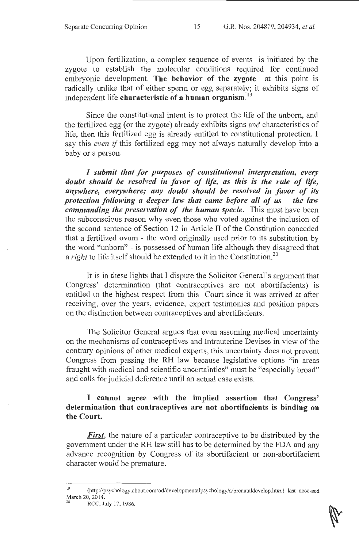Upon fertilization, a complex sequence of events is initiated by the zygote to establish the molecular conditions required for continued embryonic development. The behavior of the zygote at this point is radically unlike that of either sperm or egg separately; it exhibits signs of independent life characteristic of a human organism.

Since the constitutional intent is to protect the life of the unborn, and the fertilized egg (or the zygote) already exhibits signs and characteristics of life, then this fertilized egg is already entitled to constitutional protection. I say this *even if* this fertilized egg may not always naturally develop into a baby or a person.

*I submit that for purposes of constitutional interpretation, every doubt should be resolved in favor of life, as this is the rule of life, anywhere, everywhere; any doubt should be resolved in favor of its protection following a deeper law that came before all of us – the law commanding the preservation of the human specie.* This must have been the subconscious reason why even those who voted against the inclusion of the second sentence of Section 12 in Article II of the Constitution conceded that a fertilized ovum - the word originally used prior to its substitution by the word "unborn" - is possessed of human life although they disagreed that a *right* to life itself should be extended to it in the Constitution.<sup>20</sup>

It is in these lights that I dispute the Solicitor General's argument that Congress' determination (that contraceptives are not abortifacients) is entitled to the highest respect from this Court since it was arrived at after receiving, over the years, evidence, expert testimonies and position papers on the distinction between contraceptives and abortifacients.

The Solicitor General argues that even assuming medical uncertainty on the mechanisms of contraceptives and Intrauterine Devises in view of the contrary opinions of other medical experts, this uncertainty does not prevent Congress from passing the RH law because legislative options "in areas fraught with medical and scientific uncertainties" must be "especially broad" and calls for judicial deference until an actual case exists.

### I cannot agree with the implied assertion that Congress' determination that contraceptives are not abortifacients is binding on the Court.

*First*, the nature of a particular contraceptive to be distributed by the government under the RH law still has to be determined by the FDA and any advance recognition by Congress of its abortifacient or non-abortifacient character would be premature.

<sup>&</sup>lt;sup>19</sup> (http://psychology.about.com/od/developmentalpsychology/a/prenataldevelop.htm.) last accessed March 20, 2014.<br><sup>20</sup> RCC, July 17, 1986.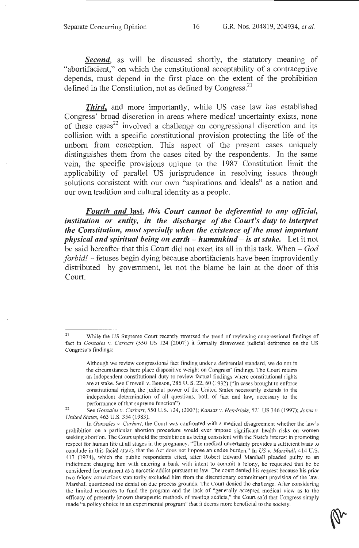**Second**, as will be discussed shortly, the statutory meaning of "abortifacient," on which the constitutional acceptability of a contraceptive depends, must depend in the first place on the extent of the prohibition defined in the Constitution, not as defined by Congress.<sup>21</sup>

*Third,* and more importantly, while US case law has established Congress' broad discretion in areas where medical uncertainty exists, none of these cases<sup>22</sup> involved a challenge on congressional discretion and its collision with a specific constitutional provision protecting the life of the unborn from conception. This aspect of the present cases uniquely distinguishes them from the cases cited by the respondents. In the same vein, the specific provisions unique to the 1987 Constitution limit the applicability of parallel US jurisprudence in resolving issues through solutions consistent with our own "aspirations and ideals" as a nation and our own tradition and cultural identity as a people.

*Fourth and* last, *this Court cannot be deferential to any official, institution or entity, in the discharge of the Court's duty to interpret the Constitution, most specially when the existence of the most important physical and spiritual being on earth - humankind - is at stake.* Let it not be said hereafter that this Court did not exert its all in this task. When - *God forbid!* - fetuses begin dying because abortifacients have been improvidently distributed by government, let not the blame be lain at the door of this Court.

While the US Supreme Court recently reversed the trend of reviewing congressional findings of fact in *Gonzales v. Carhart* (550 US 124 [2007]) it formally disavowed judicial deference on the US Congress's findings:

Although we review congressional fact finding under a deferential standard, we do not in the circumstances here place dispositive weight on Congress' findings. The Court retains an independent constitutional duty to review factual findings where constitutional rights are at stake. See Crowell v. Benson, 285 U.S. 22, 60 (1932) ("In cases brought to enforce constitutional rights, the judicial power of the United States necessarily extends to the independent determination of all questions, both of fact and law, necessary to the performance of that supreme function")

<sup>22</sup>  See *Gonzales v. Carhart,* 550 U.S. l24, (2007); *Kansas v. Hendricks,* 521 US 346 ( 1997); *Jones v. United States,* 463 U.S. 354 (1983).

In *Gonzales v. Carhart,* the Court was confronted with a medical disagreement whether the law's prohibition on a particular abortion procedure would ever impose significant health risks on women seeking abortion. The Court upheld the prohibition as being consistent with the State's interest in promoting respect for human life at all stages in the pregnancy. "The medical uncertainty provides a sufficient basis to conclude in this facial attack that the Act does not impose an undue burden." In *US v. Marshall,* 414 U.S. 417 (1974), which the public respondents cited, after Robert Edward Marshall pleaded guilty to an indictment charging him with entering a bank with intent to commit a felony, he requested that he be considered for treatment as a narcotic addict pursuant to law. The court denied his request because his prior two felony convictions statutorily excluded him from the discretionary commitment provision of the law. Marshall questioned the denial on due process grounds. The Court denied the challenge. After considering the limited resources to fund the program and the lack of "generally accepted medical view as to the efficacy of presently known therapeutic methods of treating addicts," the Court said that Congress simply made "a policy choice in an experimental program" that it deems more beneficial to the society.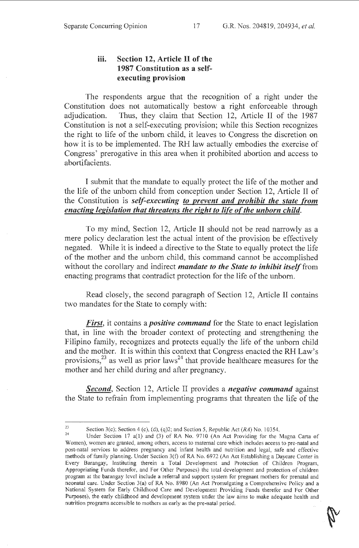# **iii. Section 12, Article II of the 1987 Constitution as a selfexecuting provision**

The respondents argue that the recognition of a right under the Constitution does not automatically bestow a right enforceable through adjudication. Thus, they claim that Section 12, Article II of the 1987 Constitution is not a self-executing provision; while this Section recognizes the right to life of the unborn child, it leaves to Congress the discretion on how it is to be implemented. The RH law actually embodies the exercise of Congress' prerogative in this area when it prohibited abortion and access to abortifacients.

I submit that the mandate to equally protect the life of the mother and the life of the unborn child from conception under Section 12, Article II of the Constitution is *self-executing to prevent and prohibit the state from enacting legislation that threatens the right to life of the unborn child.* 

To my mind, Section 12, Article II should not be read narrowly as a mere policy declaration lest the actual intent of the provision be effectively negated. While it is indeed a directive to the State to equally protect the life of the mother and the unborn child, this command cannot be accomplished without the corollary and indirect *mandate to the State to inhibit itself* from enacting programs that contradict protection for the life of the unborn.

Read closely, the second paragraph of Section 12, Article II contains two mandates for the State to comply with:

*First,* it contains a *positive command* for the State to enact legislation that, in line with the broader context of protecting and strengthening the Filipino family, recognizes and protects equally the life of the unborn child and the mother. It is within this context that Congress enacted the RH Law's provisions,  $^{23}$  as well as prior laws<sup>24</sup> that provide healthcare measures for the mother and her child during and after pregnancy.

*Second,* Section 12, Article II provides a *negative command* against the State to refrain from implementing programs that threaten the life of the

<sup>23</sup> Section 3(c); Section 4 (c), (d), (q)2; and Section 5, Republic Act (RA) No. 10354.<br>24 Under Section 17 a(1) and (3) of RA No. 9710 (An Act Providing for the Magna Carta of Women), women are granted, among others, access to maternal care which includes access to pre-natal and post-natal services to address pregnancy and infant health and nutrition and legal, safe and effective methods of family planning. Under Section 3(f) of RA No. 6972 (An Act Establishing a Daycare Center in Every Barangay, Instituting therein a Total Development and Protection of Children Program, Appropriating Funds therefor, and For Other Purposes) the total development and protection of children program at the barangay level include a referral and support system for pregnant mothers for prenatal and neonatal care. Under Section 3(a) of RA No. 8980 (An Act Promulgating a Comprehensive Policy and a National System for Early Childhood Care and Development Providing Funds therefor and For Other Purposes), the early childhood and development system under the law aims to make adequate health and nutrition programs accessible to mothers as early as the pre-natal period.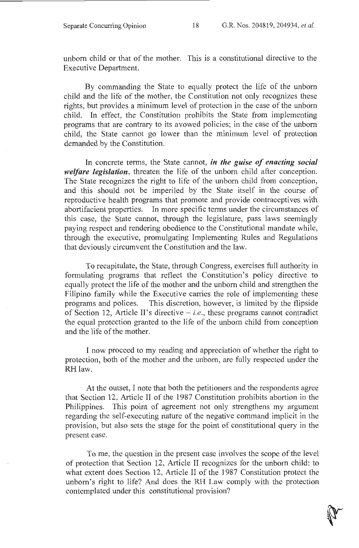unborn child or that of the mother. This is a constitutional directive to the Executive Department.

By commanding the State to equally protect the life of the unborn child and the life of the mother, the Constitution not only recognizes these rights, but provides a minimum level of protection in the case of the unborn child. In effect, the Constitution prohibits the State from implementing programs that are contrary to its avowed policies; in the case of the unborn child, the State cannot go lower than the minimum level of protection demanded by the Constitution.

In concrete terms, the State cannot, *in the guise of enacting social welfare legislation,* threaten the life of the unborn child after conception. The State recognizes the right to life of the unborn child from conception, and this should not be imperiled by the State itself in the course of reproductive health programs that promote and provide contraceptives with abortifacient properties. In more specific terms under the circumstances of this case, the State cannot, through the legislature, pass laws seemingly paying respect and rendering obedience to the Constitutional mandate while, through the executive, promulgating Implementing Rules and Regulations that deviously circumvent the Constitution and the law.

To recapitulate, the State, through Congress, exercises full authority in formulating programs that reflect the Constitution's policy directive to equally protect the life of the mother and the unborn child and strengthen the Filipino family while the Executive carries the role of implementing these programs and polices. This discretion, however, is limited by the flipside of Section 12, Article II's directive - *i.e.,* these programs cannot contradict the equal protection granted to the life of the unborn child from conception and the life of the mother.

I now proceed to my reading and appreciation of whether the right to protection, both of the mother and the unborn, are fully respected under the RH law.

At the outset, I note that both the petitioners and the respondents agree that Section 12, Article II of the 1987 Constitution prohibits abortion in the Philippines. This point of agreement not only strengthens my argument regarding the self-executing nature of the negative command implicit in the provision, but also sets the stage for the point of constitutional query in the present case.

To me, the question in the present case involves the scope of the level of protection that Section 12, Article II recognizes for the unborn child: to what extent does Section 12, Article II of the 1987 Constitution protect the unborn's right to life? And does the RH Law comply with the protection contemplated under this constitutional provision?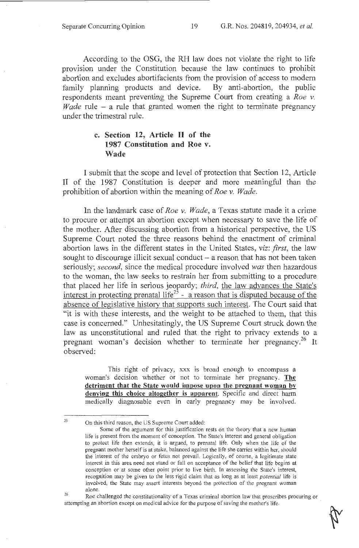According to the OSG, the RH law does not violate the right to life provision under the Constitution because the law continues to prohibit abortion and excludes abortifacients from the provision of access to modem family planning products and device. By anti-abortion, the public respondents meant preventing the Supreme Court from creating a *Roe v. Wade* rule – a rule that granted women the right to terminate pregnancy under the trimestral rule.

# **c. Section 12, Article II of the 1987 Constitution and Roe v. Wade**

I submit that the scope and level of protection that Section 12, Article II of the 1987 Constitution is deeper and more meaningful than the prohibition of abortion within the meaning of *Roe v. Wade.* 

In the landmark case of *Roe v. Wade,* a Texas statute made it a crime to procure or attempt an abortion except when necessary to save the life of the mother. After discussing abortion from a historical perspective, the US Supreme Court noted the three reasons behind the enactment of criminal abortion laws in the different states in the United States, *viz: first,* the law sought to discourage illicit sexual conduct – a reason that has not been taken seriously; *second,* since the medical procedure involved *was* then hazardous to the woman, the law seeks to restrain her from submitting to a procedure that placed her life in serious jeopardy; *third,* the law advances the State's interest in protecting prenatal life<sup>25</sup> - a reason that is disputed because of the absence of legislative history that supports such interest. The Court said that "it is with these interests, and the weight to be attached to them, that this case is concerned." Unhesitatingly, the US Supreme Court struck down the law as unconstitutional and ruled that the right to privacy extends to a pregnant woman's decision whether to terminate her pregnancy.<sup>26</sup> It observed:

This right of privacy, xxx is broad enough to encompass a woman's decision whether or not to terminate her pregnancy. **The detriment that the State would impose upon the pregnant woman by denying this choice altogether is apparent.** Specific and direct harm medically diagnosable even in early pregnancy may be involved.

25

On this third reason, the US Supreme Court added:

Some of the argument for this justification rests on the theory that a new human life is present from the moment of conception. The State's interest and general obligation to protect life then extends, it is argued, to prenatal life. Only when the life of the pregnant mother herself is at stake, balanced against the life she carries within her, should the interest of the embryo or fetus not prevail. Logically, of course, a legitimate state interest in this area need not stand or fall on acceptance of the belief that life begins at conception or at some other point prior to live birth. In assessing the State's interest, recognition may be given to the less rigid claim that as long as at least *potential* life is involved, the State may assert interests beyond the protection of the pregnant woman alone.

<sup>26</sup> 

Roe challenged the constitutionality of a Texas criminal abortion law that proscribes procuring or attempting an abortion except on medical advice for the purpose of saving the mother's life.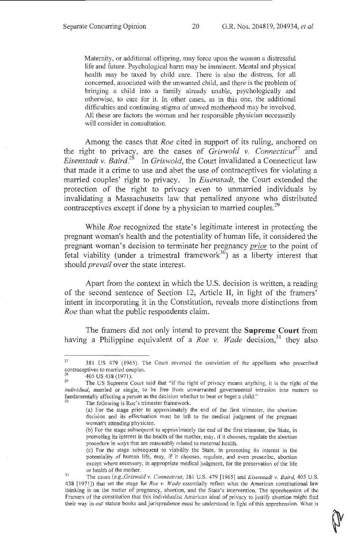Maternity, or additional offspring, may force upon the woman a distressful life and future. Psychological harm may be imminent. Mental and physical health may be taxed by child care. There is also the distress, for all concerned, associated with the unwanted child, and there is the problem of bringing a child into a family already unable, psychologically and otherwise, to care for it. In other cases, as in this one, the additional difficulties and continuing stigma of unwed motherhood may be involved. All these are factors the woman and her responsible physician necessarily will consider in consultation.

Among the cases that *Roe* cited in support of its ruling, anchored on the right to privacy, are the cases of *Griswold v. Connecticut*<sup>27</sup> and *Eisenstadt v. Baird.*<sup>28</sup> In *Griswold*, the Court invalidated a Connecticut law that made it a crime to use and abet the use of contraceptives for violating a married couples' right to privacy. In *Eisenstadt,* the Court extended the protection of the right to privacy even to unmarried individuals by invalidating a Massachusetts law that penalized anyone who distributed contraceptives except if done by a physician to married couples.<sup>29</sup>

While *Roe* recognized the state's legitimate interest in protecting the pregnant woman's health and the potentiality of human life, it considered the pregnant woman's decision to terminate her pregnancy *prior* to the point of fetal viability (under a trimestral framework<sup>30</sup>) as a liberty interest that should *prevail* over the state interest.

Apart from the context in which the U.S. decision is written, a reading of the second sentence of Section 12, Article II, in light of the framers' intent in incorporating it in the Constitution, reveals more distinctions from *Roe* than what the public respondents claim.

The framers did not only intend to prevent the **Supreme Court** from having a Philippine equivalent of a *Roe v. Wade* decision,<sup>31</sup> they also

<sup>27 381</sup> US 479 (1965). The Court reversed the conviction of the appellants who prescribed contraceptives to married couples.<br>
<sup>28</sup> 405 US438 (1971).<br>
<sup>29</sup> The US Supreme Court said that "if the right of privacy means anything, it is the right of the

*individual,* married or single, to be free from unwarranted governmental intrusion into matters so fundamentally affecting a person as the decision whether to bear or beget a child."<br><sup>30</sup> The following is Roe's trimester framework.

<sup>(</sup>a) For the stage prior to approximately the end of the first trimester, the abortion decision and its effectuation must be left to the medical judgment of the pregnant woman's attending physician.

<sup>(</sup>b) For the stage subsequent to approximately the end of the first trimester, the State, in promoting its interest in the health of the mother, may, ifit chooses, regulate the abortion procedure in ways that are reasonably related to maternal health.

<sup>(</sup>c) For the stage subsequent to viability the State, in promoting its interest in the potentiality of human life, may, if it chooses, regulate, and even proscribe, abortion except where necessary, in appropriate medical judgment, for the preservation of the life

or health of the mother.<br><sup>31</sup> The cases *(e.g.,Griswold v. Connecticut,* 381 U.S. 479 [1965] and *Eisenstadt v. Baird,* 405 U.S. 438 [1971]) that set the stage for *Roe v. Wade* essentially reflect what the American constitutional law thinking is on the matter of pregnancy, abortion, and the State's intervention. The apprehension of the Framers of the constitution that this individualist American ideal of privacy to justify abortion might find their way in our statute books and jurisprudence must be understood in light of this apprehension. What is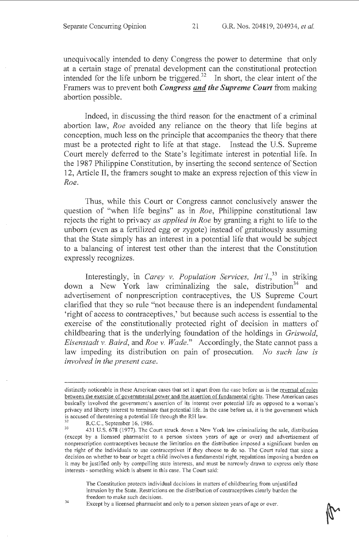unequivocally intended to deny Congress the power to determine that only at a certain stage of prenatal development can the constitutional protection intended for the life unborn be triggered.<sup>32</sup> In short, the clear intent of the Framers was to prevent both *Congress and the Supreme Court* from making abortion possible.

Indeed, in discussing the third reason for the enactment of a criminal abortion law, *Roe* avoided any reliance on the theory that life begins at conception, much less on the principle that accompanies the theory that there must be a protected right to life at that stage. Instead the U.S. Supreme Court merely deferred to the State's legitimate interest in potential life. In the 1987 Philippine Constitution, by inserting the second sentence of Section 12, Article II, the framers sought to make an express rejection of this view in *Roe.* 

Thus, while this Court or Congress cannot conclusively answer the question of "when life begins" as in *Roe,* Philippine constitutional law rejects the right to privacy *as applied in Roe* by granting a right to life to the unborn (even as a fertilized egg or zygote) instead of gratuitously assuming that the State simply has an interest in a potential life that would be subject to a balancing of interest test other than the interest that the Constitution expressly recognizes.

Interestingly, in *Carey v. Population Services, Int'l.*<sup>33</sup> in striking down a New York law criminalizing the sale, distribution<sup>34</sup> and advertisement of nonprescription contraceptives, the US Supreme Court clarified that they so rule "not because there is an independent fundamental 'right of access to contraceptives,' but because such access is essential to the exercise of the constitutionally protected right of decision in matters of childbearing that is the underlying foundation of the holdings in *Griswold, Eisenstadt v. Baird,* and *Roe v. Wade."* Accordingly, the State cannot pass a law impeding its distribution on pain of prosecution. *No such law is involved in the present case.* 

34

The Constitution protects individual decisions in matters of childbearing from unjustified intrusion by the State. Restrictions on the distribution of contraceptives clearly burden the freedom to make such decisions.

Except by a licensed pharmacist and only to a person sixteen years of age or over.

distinctly noticeable in these American cases that set it apart from the case before us is the reversal of roles between the exercise of governmental power and the assertion of fundamental rights. These American cases basically involved the government's assertion of its interest over potential life as opposed to a woman's privacy and liberty interest to terminate that potential life. In the case before us, it is the government which<br>is accused of threatening a potential life through the RH law.<br> $R = 5.6 \times 100\%$ 

Eighthrough threatening a potential 1986.<br>33 A31 U.S. 678 (1977). The Court struck down a New York law criminalizing the sale, distribution (except by a licensed pharmacist to a person sixteen years of age or over) and advertisement of nonprescription contraceptives because the limitation on the distribution imposed a significant burden on the right of the individuals to use contraceptives if they choose to do so. The Court ruled that since a decision on whether to bear or beget a child involves a fundamental right, regulations imposing a burden on it may be justified only by compelling state interests, and must be narrowly drawn to express only those interests - something which is absent in this case. The Court said: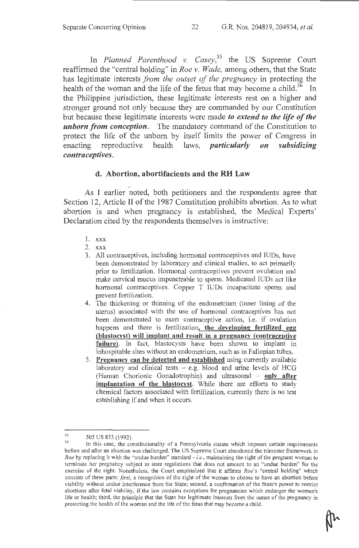In *Planned Parenthood* v. *Casey,<sup>35</sup>*the US Supreme Court reaffirmed the "central holding" in *Roe* v. *Wade,* among others, that the State has legitimate interests *from the outset of the pregnancy* in protecting the health of the woman and the life of the fetus that may become a child.<sup>36</sup> In the Philippine jurisdiction, these legitimate interests rest on a higher and stronger ground not only because they are commanded by our Constitution but because these legitimate interests were made *to extend to the life of the unborn from conception.* The mandatory command of the Constitution to protect the life of the unborn by itself limits the power of Congress in enacting reproductive health laws, *particularly on subsidizing contraceptives.* 

### **d. Abortion, abortifacients and the RH Law**

. As I earlier noted, both petitioners and the respondents agree that Section 12, Article II of the 1987 Constitution prohibits abortion. As to what abortion is and when pregnancy is established, the Medical Experts' Declaration cited by the respondents themselves is instructive:

- 1. xxx
- 2. xxx
- 3. All contraceptives, including hormonal contraceptives and IUDs, have been demonstrated by laboratory and ciinical studies, to act primarily prior to fertilization. Hormonal contraceptives prevent ovulation and make cervical mucus impenetrable to sperm. Medicated IUDs act like hormonal contraceptives. Copper T IUDs incapacitate sperm and prevent fertilization.
- 4. The thickening or thinning of the endometrium (inner lining of the uterus) associated with the use of hormonal contraceptives has not been demonstrated to exert contraceptive action, i.e. if ovulation happens and there is fertilization, **the developing fertilized egg (blastocyst) will implant and result in a pregnancy (contraceptive**  failure). In fact, blastocysts have been shown to implant in inhospitable sites without an endometrium, such as in Fallopian tubes.
- 5. **Pregnancy can be detected and established** using currently available laboratory and clinical tests  $-$  e.g. blood and urine levels of HCG (Human Chorionic Gonadotrophin) and ultrasound - **only after implantation of the blastocyst.** While there are efforts to study chemical factors associated with fertilization, currently there is no test establishing if and when it occurs.

<sup>35</sup> 

 $\frac{35}{36}$  505 US 833 (1992).<br><sup>36</sup> In this case, the constitutionality of a Pennsylvania statute which imposes certain requirements before and after an abortion was challenged. The US Supreme Court abandoned the trimester framework in *Roe* by replacing it with the "undue burden" standard - *i.e.*, maintaining the right of the pregnant woman to terminate her pregnancy subject to state regulations that does not amount to an "undue burden" for the exercise of the right. Nonetheless, the Court emphasized that it affirms *Roe's* "central holding" which consists of three parts: *first,* a recognition of the right of the woman to choose to have an abortion before viability without undue interference from the State; second, a confirmation of the State's power to restrict abortions after fetal viability, if the law contains exceptions for pregnancies which endanger the woman's life or health; third, the principle that the State has legitimate interests from the outset of the pregnancy in protecting the health of the woman and the life of the fetus that may become a child.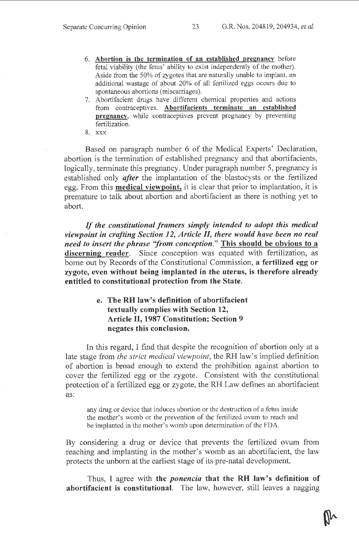- 6. Abortion is the termination of an established pregnancy before fetal viability (the fetus' ability to exist independently of the mother). Aside from the 50% of zygotes that are naturally unable to implant, an additional wastage of about 20% of all fertilized eggs occurs due to spontaneous abortions (miscarriages).
- 7. Abortifacient drugs have different chemical properties and actions from contraceptives. Abortifacients terminate an established pregnancy, while contraceptives prevent pregnancy by preventing fertilization.
- 8. xxx

Based on paragraph number 6 of the Medical Experts' Declaration, abortion is the termination of established pregnancy and that abortifacients, logically, terminate this pregnancy. Under paragraph number 5, pregnancy is established only *after* the implantation of the blastocysts or the fertilized egg. From this **medical viewpoint**, it is clear that prior to implantation, it is premature to talk about abortion and abortifacient as there is nothing yet to abort.

*If the constitutional framers simply intended to adopt this medical viewpoint in crafting Section 12, Article II, there would have been no real need to insert the phrase "from conception.*" This should be obvious to a discerning reader. Since conception was equated with fertilization, as borne out by Records of the Constitutional Commission, a fertilized egg or zygote, even without being implanted in the uterus, is therefore already entitled to constitutional protection from the State.

> e. The RH law's definition of abortifacient textually complies with Section 12, Article II, 1987 Constitution; Section 9 negates this conclusion.

In this regard, I find that despite the recognition of abortion only at a late stage from *the strict medical viewpoint,* the RH law's implied definition of abortion is broad enough to extend the prohibition against abortion to cover the fertilized egg or the zygote. Consistent with the constitutional protection of a fertilized egg or zygote, the RH Law defines an abortifacient as:

any drug or device that induces abortion or the destruction of a fetus inside the mother's womb or the prevention of the fertilized ovum to reach and be implanted in the mother's womb upon determination of the FDA.

By considering a drug or device that prevents the fertilized ovum from reaching and implanting in the mother's womb as an abortifacient, the law protects the unborn at the earliest stage of its pre-natal development.

Thus, I agree with the *ponencia* that the RH law's definition of abortifacient is constitutional. The law, however, still leaves a nagging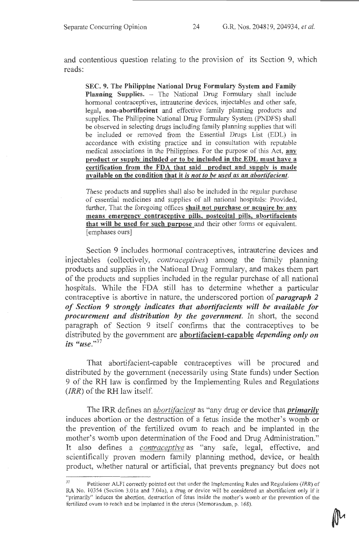and contentious question relating to the provision of its Section 9, which reads:

SEC. 9. The Philippine National Drug Formulary System and Family Planning Supplies. - The National Drug Formulary shall include hormonal contraceptives, intrauterine devices, injectables and other safe, legal, non-abortifacient and effective family planning products and supplies. The Philippine National Drug Formulary System (PNDFS) shall be observed in selecting drugs including family planning supplies that will be included or removed from the Essential Drugs List (EDL) in accordance with existing practice and in consultation with reputable medical associations in the Philippines. For the purpose of this Act, any product or supplv included or to be included in the EDL must have a certification from the FDA that said product and supply is made available on the condition that it is *not to be used as an aborti[acient.* 

These products and supplies shall also be included in the regular purchase of essential medicines and supplies of all national hospitals: Provided, further, That the foregoing offices shall not purchase or acquire by any means emergency contraceptive pills, postcoital pills, abortifacients that will be used for such purpose and their other forms or equivalent. [emphases ours]

Section 9 includes hormonal contraceptives, intrauterine devices and injectables (collectively, *contraceptives)* among the family planning products and supplies in the National Drug Formulary, and makes them part of the products and supplies included in the regular purchase of all national hospitals. While the FDA still has to determine whether a particular contraceptive is abortive in nature, the underscored portion of *paragraph 2 of Section 9 strongly indicates that abortifacients will be available for procurement and distribution by the government.* In short, the second paragraph of Section 9 itself confirms that the contraceptives to be distributed by the government are abortifacient-capable *depending only on its "use."<sup>37</sup>*

That abortifacient-capable contraceptives will be procured and distributed by the government (necessarily using State funds) under Section 9 of the RH law is confirmed by the Implementing Rules and Regulations  $(IRR)$  of the RH law itself.

The IRR defines an *abortifacient* as "any drug or device that *primarily*  induces abortion or the destruction of a fetus inside the mother's womb or the prevention of the fertilized ovum to reach and be implanted in the mother's womb upon determination of the Food and Drug Administration." It also defines a *contraceptive* as "any safe, legal, effective, and scientifically proven modem family planning method, device, or health product, whether natural or artificial, that prevents pregnancy but does not

<sup>37</sup>Petitioner ALFI correctly pointed out that under the Implementing Rules and Regulations *(!RR)* of RA No. 10354 (Section 3.0la and 7.04a), a drug or device will be considered an abortifacient only if it "primarily" induces the abortion, destruction of fetus inside the mother's womb or the prevention of the fertilized ovum to reach and be implanted in the uterus (Memorandum, p. 168).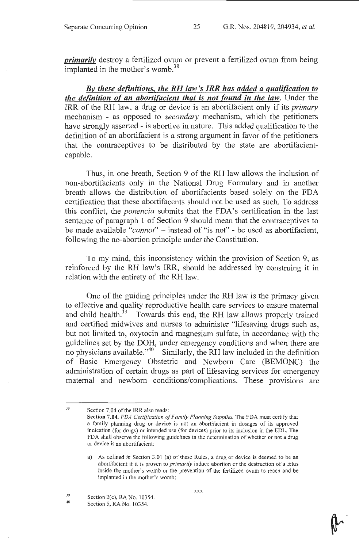*primarily* destroy a fertilized ovum or prevent a fertilized ovum from being implanted in the mother's womb.<sup>38</sup>

*Bv these definitions, the RH law's IRR has added a qualification to the definition of an abortifacient that is not found in the law.* Under the IRR of the RH law, a drug or device is an abortifacient only if its *primary*  mechanism - as opposed to *secondary* mechanism, which the petitioners have strongly asserted - is abortive in nature. This added qualification to the definition of an abortifacient is a strong argument in favor of the petitioners that the contraceptives to be distributed by the state are abortifacientcapable.

Thus, in one breath, Section 9 of the RH law allows the inclusion of non-abortifacients only in the National Drug Formulary and in another breath allows the distribution of abortifacients based solely on the FDA certification that these abortifacents should not be used as such. To address this conflict, the *ponencia* submits that the FDA's certification in the last sentence of paragraph 1 of Section 9 should mean that the contraceptives to be made available *"cannot"* - instead of "is not" - be used as abortifacient, following the no-abortion principle under the Constitution.

To my mind, this inconsistency within the provision of Section 9, as reinforced by the RH law's IRR, should be addressed by construing it in relation with the entirety of the RH law.

One of the guiding principles under the RH law is the primacy given to effective and quality reproductive health care services to ensure maternal and child health.<sup>39</sup> Towards this end, the RH law allows properly trained and certified midwives and nurses to administer "lifesaving drugs such as, but not limited to, oxytocin and magnesium sulfate, in accordance with the guidelines set by the DOH, under emergency conditions and when there are no physicians available."<sup>40</sup> Similarly, the RH law included in the definition of Basic Emergency Obstetric and Newborn Care (BEMONC) the administration of certain drugs as part of lifesaving services for emergency maternal and newborn conditions/complications. These provisions are

38

xxx

Section 7.04 of the IRR also reads:

Section 7.04. *FDA Certification of Family Planning Supplies.* The FDA must certify that a family planning drug or device is not an abortifacient in dosages of its approved indication (for drugs) or intended use (for devices) prior to its inclusion in the EDL. The FDA shall observe the following guidelines in the determination of whether or not a drug or device is an abortifacient:

a) As defined in Section 3.01 (a) of these Rules, a drug or device is deemed to be an abortifacient if it is proven to *primarily* induce abortion or the destruction of a fetus inside the mother's womb or the prevention of the fertilized ovum to reach and be implanted in the mother's womb;

<sup>39</sup>  40 Section 2(c), RA No. 10354.

Section 5, RA No. 10354.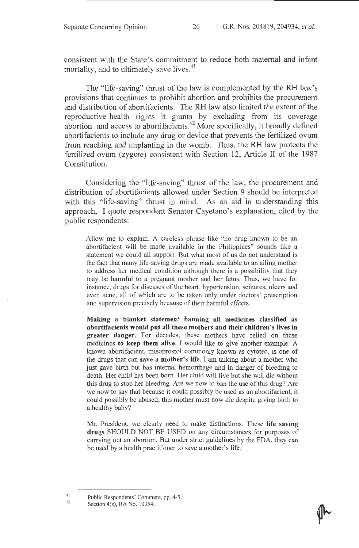consistent with the State's commitment to reduce both maternal and infant mortality, and to ultimately save lives.<sup>41</sup>

The "life-saving" thrust of the law is complemented by the RH law's provisions that continues to prohibit abortion and prohibits the procurement and distribution of abortifacients. The RH law also limited the extent of the reproductive health rights it grants by excluding from its coverage abortion and access to abortifacients.<sup>42</sup> More specifically, it broadly defined abortifacients to include any drug or device that prevents the fertilized ovum from reaching and implanting in the womb. Thus, the RH law protects the fertilized ovum (zygote) consistent with Section 12, Article II of the 1987 Constitution.

Considering the "life-saving" thrust of the law, the procurement and distribution of abortifacients allowed under Section 9 should be interpreted with this "life-saving" thrust in mind. As an aid in understanding this approach, I quote respondent Senator Cayetano's explanation, cited by the public respondents:

Allow me to explain. A careless phrase like "no drug known to be an abortifacient will be made available in the Philippines" sounds like a statement we could all support. But what most of us do not understand is the fact that many life-saving drugs are made available to an ailing mother to address her medical condition although there is a possibility that they may be harmful to a pregnant mother and her fetus. Thus, we have for instance, drugs for diseases of the heart, hypertension, seizures, ulcers and even acne, all of which are to be taken only under doctors' prescription and supervision precisely because of their harmful effects.

Making a blanket statement banning all medicines classified as abortifacients would put all these mothers and their children's lives in greater danger. For decades, these mothers have relied on these medicines to keep them alive. I would like to give another example. A known abortifacient, misoprostol commonly known as cytotec, is one of the drugs that can save a mother's life. I am talking about a mother who just gave birth but has internal hemorrhage and in danger of bleeding to death. Her child has been born. Her child will live but she will die without this drug to stop her bleeding. Are we now to ban the use of this drug? Are we now to say that because it could possibly be used as an abortifacient, it could possibly be abused, this mother must now die despite giving birth to a healthy baby?

Mr. President, we clearly need to make distinctions. These life saving drugs SHOULD NOT BE USED on any circumstances for purposes of carrying out an abortion. But under strict guidelines by the FDA, they can be used by a health practitioner to save a mother's life.

41 42

Public Respondents' Comment, pp. 4-5.

Section 4(s), RA No. 10354.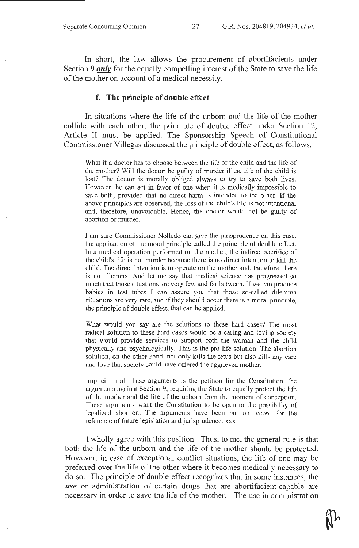In short, the law allows the procurement of abortifacients under Section 9 *only* for the equally compelling interest of the State to save the life of the mother on account of a medical necessity.

#### **f. The principle of double effect**

In situations where the life of the unborn and the life of the mother collide with each other, the principle of double effect under Section 12, Article II must be applied. The Sponsorship Speech of Constitutional Commissioner Villegas discussed the principle of double effect, as follows:

What if a doctor has to choose between the life of the child and the life of the mother? Will the doctor be guilty of murder if the life of the child is lost? The doctor is morally obliged always to try to save both lives. However, he can act in favor of one when it is medically impossible to save both, provided that no direct harm is intended to the other. If the above principles are observed, the loss of the child's life is not intentional and, therefore, unavoidable. Hence, the doctor would not be guilty of abortion or murder.

I am sure Commissioner Nolledo can give the jurisprudence on this case, the application of the moral principle called the principle of double effect. In a medical operation performed on the mother, the indirect sacrifice of the child's life is not murder because there is no direct intention to kill the child. The direct intention is to operate on the mother and, therefore, there is no dilemma. And let me say that medical science has progressed so much that those situations are very few and far between. If we can produce babies in test tubes I can assure you that those so-called dilemma situations are very rare, and if they should occur there is a moral principle, the principle of double effect, that can be applied.

What would you say are the solutions to these hard cases? The most radical solution to these hard cases would be a caring and loving society that would provide services to support both the woman and the child physically and psychologically. This is the pro-life solution. The abortion solution, on the other hand, not only kills the fetus but also kills any care and love that society could have offered the aggrieved mother.

Implicit in all these arguments is the petition for the Constitution, the arguments against Section 9, requiring the State to equally protect the life of the mother and the life of the unborn from the moment of conception. These arguments want the Constitution to be open to the possibility of legalized abortion. The arguments have been put on record for the reference of future legislation and jurisprudence. xxx

I wholly agree with this position. Thus, to me, the general rule is that both the life of the unborn and the life of the mother should be protected. However, in case of exceptional conflict situations, the life of one may be preferred over the life of the other where it becomes medically necessary to do so. The principle of double effect recognizes that in some instances, the *use* or administration of certain drugs that are abortifacient-capable are necessary in order to save the life of the mother. The use in administration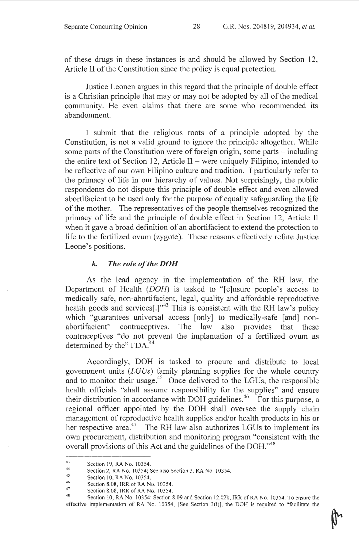of these drugs in these instances is and should be allowed by Section 12, Article II of the Constitution since the policy is equal protection.

Justice Leonen argues in this regard that the principle of double effect is a Christian principle that may or may not be adopted by all of the medical community. He even claims that there are some who recommended its abandonment.

I submit that the religious roots of a principle adopted by the Constitution, is not a valid ground to ignore the principle altogether. While some parts of the Constitution were of foreign origin, some parts  $-$  including the entire text of Section 12, Article II – were uniquely Filipino, intended to be reflective of our own Filipino culture and tradition. I particularly refer to the primacy of life in our hierarchy of values. Not surprisingly, the public respondents do not dispute this principle of double effect and even allowed abortifacient to be used only for the purpose of equally safeguarding the life of the mother. The representatives of the people themselves recognized the primacy of life and the principle of doubie effect in Section 12, Article II when it gave a broad definition of an abortifacient to extend the protection to life to the fertilized ovum (zygote). These reasons effectively refute Justice Leone's positions.

#### *k. The role of the DOH*

As the lead agency in the implementation of the RH law, the Department of Health (DOH) is tasked to "[e]nsure people's access to medically safe, non-abortifacient, legal, quality and affordable reproductive health goods and services[.]"<sup>43</sup> This is consistent with the RH law's policy which "guarantees universal access [only] to medically-safe [and] nonabortifacient" contraceptives. The law also provides that these contraceptives "do not prevent the implantation of a fertilized ovum as determined by the" FDA.<sup>44</sup>

Accordingly, DOH is tasked to procure and distribute to local government units *(LGUs)* family planning supplies for the whole country and to monitor their usage.<sup>45</sup> Once delivered to the LGUs, the responsible health officials "shall assume responsibility for the supplies" and ensure their distribution in accordance with DOH guidelines.<sup>46</sup> For this purpose, a regional officer appointed by the DOH shall oversee the supply chain management of reproductive health supplies and/or health products in his or her respective area.<sup>47</sup> The RH law also authorizes LGUs to implement its own procurement, distribution and monitoring program "consistent with the overall provisions of this Act and the guidelines of the DOH."<sup>48</sup>

<sup>43</sup>  Section 19, RA No. 10354.

<sup>44</sup>  Section 2, RA No. 10354; See also Section 3, RA No. 10354.

<sup>45</sup>  Section 10, RA No. 10354.

<sup>46</sup>  Section 8.08, IRR of RA No. 10354.

<sup>47</sup> 

Section 8.08, IRR of RA No. 10354.<br><sup>48</sup> Section 10, RA No. 10354; Section 8.09 and Section 12.02k, IRR of RA No. 10354. To ensure the effective implementation of RA No. 10354, [See Section 3(i)], the DOH is required to "facilitate the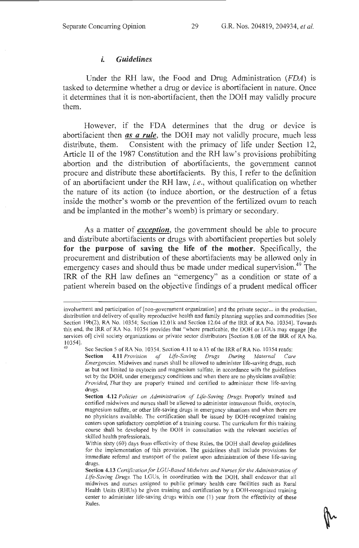#### *t. Guidelines*

Under the RH law, the Food and Drug Administration *(FDA)* is tasked to determine whether a drug or device is abortifacient in nature. Once it determines that it is non-abortifacient, then the DOH may validly procure them.

However, if the FDA determines that the drug or device is abortifacient then *as a rule,* the DOH may not validly procure, much less distribute, them. Consistent with the primacy of life under Section 12, Article II of the 1987 Constitution and the RH law's provisions prohibiting abortion and the distribution of abortifacients, the government cannot procure and distribute these abortifacients. By this, I refer to the definition of an abortifacient under the RH law, *i.e.,* without qualification on whether the nature of its action (to induce abortion, or the destruction of a fetus inside the mother's womb or the prevention of the fertilized ovum to reach and be implanted in the mother's womb) is primary or secondary.

As a matter of *exception,* the government should be able to procure and distribute abortifacients or drugs with abortifacient properties but solely for the purpose of saving the life of the mother. Specifically, the procurement and distribution of these abortifacients may be allowed only in emergency cases and should thus be made under medical supervision.<sup>49</sup> The IRR of the RH law defines an "emergency" as a condition or state of a patient wherein based on the objective findings of a prudent medical officer

involvement and participation of [non-government organization] and the private sector. .. in the production, distribution and delivery of quality reproductive health and family planning supplies and commodities [See Section 19b(2), RA No. 10354; Section i2.0lk and Section 12.04 of the IRR of RA No. 10354]. Towards this end, the IRR of RA No. 10354 provides that "where practicable, the DOH or LGUs may engage [the services of] civil society organizations or private sector distributors [Section 8.08 of the IRR of RA No. 10354].

See Section 5 of RA No. 10354. Section 4.11 to 4.13 of the IRR of RA No. 10354 reads: Section 4.11 *Provision of Life-Saving Drugs During Maternal Care Emergencies.* Midwives and nurses shall be allowed to administer life-saving drugs, such as but not limited to oxytocin and magnesium sulfate, in accordance with the guidelines set by the DOH, under emergency conditions and when there are no physicians available: *Provided, That* they are properly trained and certified to administer these life-saving drugs.

Section 4.12 *Policies on Administration of Life-Saving Drugs.* Properly trained and certified midwives and nurses shall be allowed to administer intravenous fluids, oxytocin, magnesium sulfate, or other life-saving drugs in emergency situations and when there are no physicians available. The certification shall be issued by DOH-recognized training centers upon satisfactory completion of a training course. The curriculum for this training course shall be developed by the DOH in consultation with the relevant societies of skilled health professionals.

Within sixty (60) days from effectivity of these Rules, the DOH shall develop guidelines for the implementation of this provision. The guidelines shall include provisions for immediate referral and transport of the patient upon administration of these life-saving drugs.

Section 4.13 *Certification for LGU-Based Midwives and Nurses for the Administration of Life-Saving Drugs.* The LGUs, in coordination with the DOH, shall endeavor that all midwives and nurses assigned to public primary health care facilities such as Rural Health Units (RHUs) be given training and certification by a DOH-recognized training center to administer life-saving drugs within one (1) year from the effectivity of these Rules.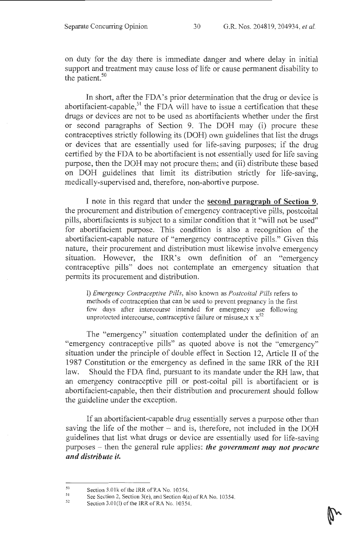on duty for the day there is immediate danger and where delay in initial support and treatment may cause loss of life or cause permanent disability to the patient. $50$ 

In short, after the FDA's prior determination that the drug or device is abortifacient-capable,<sup>51</sup> the FDA will have to issue a certification that these drugs or devices are not to be used as abortifacients whether under the first or second paragraphs of Section 9. The DOH may (i) procure these contraceptives strictly following its (DOH) own guidelines that list the drugs or devices that are essentially used for life-saving purposes; if the drug certified by the FDA to be abortifacient is not essentially used for life saving purpose, then the DOH may not procure them; and (ii) distribute these based on DOH guidelines that limit its distribution strictly for life-saving, medically-supervised and, therefore, non-abortive purpose.

I note in this regard that under the **second paragraph of Section 9,**  the procurement and distribution of emergency contraceptive pills, postcoital pills, abortifacients is subject to a similar condition that it "will not be used" for abortifacient purpose. This condition is also a recognition of the abortifacient-capable nature of "emergency contraceptive pills." Given this nature, their procurement and distribution must likewise involve emergency situation. However, the IRR's own definition of an "emergency contraceptive pills" does not contemplate an emergency situation that permits its procurement and distribution.

l) *Emergency Contraceptive Pills,* also known as *Postcoital Pills* refers to methods of contraception that can be used to prevent pregnancy in the first few days after intercourse intended for emergency use following unprotected intercourse, contraceptive failure or misuse, $x \times x^{52}$ 

The "emergency" situation contemplated under the definition of an "emergency contraceptive pills" as quoted above is not the "emergency" situation under the principle of double effect in Section 12, Article II of the 1987 Constitution or the emergency as defined in the same IRR of the RH law. Should the FDA find, pursuant to its mandate under the RH law, that an emergency contraceptive pill or post-coital pill is abortifacient or is abortifacient-capable, then their distribution and procurement should follow the guideline under the exception.

If an abortifacient-capable drug essentially serves a purpose other than saving the life of the mother  $-$  and is, therefore, not included in the DOH guidelines that list what drugs or device are essentially used for life-saving purposes - then the general rule applies: *the government may not procure and distribute it.* 

*so*  Section 3.0lk of the IRR of RA No. 10354.

<sup>51</sup>  See Section 2, Section 3(e), and Section 4(a) of RA No. 10354.

<sup>52</sup>  Section 3.01(I) of the IRR of RA No. 10354.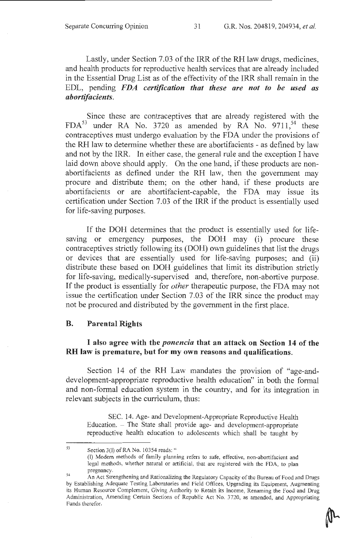Lastly, under Section 7.03 of the IRR of the RH law drugs, medicines, and health products for reproductive health services that are already included in the Essential Drug List as of the effectivity of the IRR shall remain in the EDL, pending *FDA certification that these are not to be used as abortif acients.* 

Since these are contraceptives that are already registered with the  $FDA<sup>53</sup>$  under RA No. 3720 as amended by RA No. 9711,<sup>54</sup> these contraceptives must undergo evaluation by the FDA under the provisions of the RH law to determine whether these are abortifacients - as defined by law and not by the IRR. In either case, the general rule and the exception I have laid down above should apply. On the one hand, if these products are nonabortifacients as defined under the RH law, then the government may procure and distribute them; on the other hand, if these products are abortifacients or are abortifacient-capable, the FDA may issue its certification under Section 7 .03 of the IRR if the product is essentially used for life-saving purposes.

If the DOH determines that the product is essentially used for lifesaving or emergency purposes, the DOH may (i) procure these contraceptives strictly following its (DOH) own guidelines that list the drugs or devices that are essentially used for life-saving purposes; and (ii) distribute these based on DOH guidelines that limit its distribution strictly for life-saving, medically-supervised and, therefore, non-abortive purpose. If the product is essentially for *other* therapeutic purpose, the FDA may not issue the certification under Section 7.03 of the IRR since the product may not be procured and distributed by the government in the first place.

#### B. Parental Rights

### I also agree with the *ponencia* that an attack on Section 14 of the RH law is premature, but for my own reasons and qualifications.

Section 14 of the RH Law mandates the provision of "age-anddevelopment-appropriate reproductive health education" in both the formal and non-formal education system in the country, and for its integration in relevant subjects in the curriculum, thus:

SEC. 14. Age- and Development-Appropriate Reproductive Health Education. - The State shall provide age- and development-appropriate reproductive health education to adolescents which shall be taught by

<sup>53</sup>  Section 3(1) of RA No. 10354 reads: "

<sup>(</sup>I) Modem methods of family planning refers to safe, effective, non-abortifacient and legal methods, whether natural or artificial, that are registered with the FDA, to plan pregnancy.<br>
54 An Act Strengthening and Rationalizing the Regulatory Capacity of the Bureau of Food and Drugs

by Establishing Adequate Testing Laboratories and Field Offices, Upgrading its Equipment, Augmenting its Human Resource Complement, Giving Authority to Retain its Income, Renaming the Food and Drug Administration, Amending Certain Sections of Republic Act No. 3720, as amended, and Appropriating Funds therefor.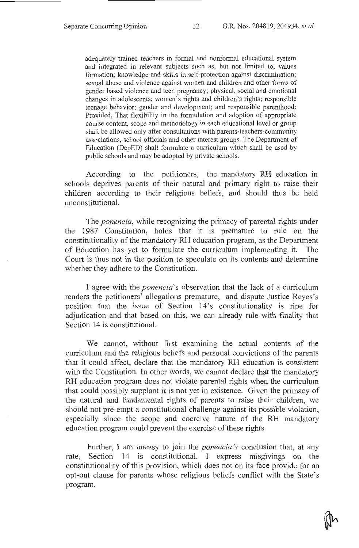adequately trained teachers in formal and nonformal educational system and integrated in relevant subjects such as, but not limited to, values formation; knowledge and skills in self-protection against discrimination; sexual abuse and violence against women and children and other forms of gender based violence and teen pregnancy; physical, social and emotional changes in adolescents; women's rights and children's rights; responsible teenage behavior; gender and development; and responsible parenthood: Provided, That flexibility in the formulation and adoption of appropriate course content, scope and methodology in each educational level or group shall be allowed only after consultations with parents-teachers-community associations, school officials and other interest groups. The Department of Education (DepED) shall formulate a curriculum which shall be used by public schools and may be adopted by private schools.

According to the petitioners, the mandatory RH education in schools deprives parents of their natural and primary right to raise their children according to their religious beliefs, and should thus be held unconstitutional.

The *ponencia,* while recognizing the primacy of parental rights under the 1987 Constitution, holds that it is premature to rule on the constitutionality of the mandatory RH education program, as the Department of Education has yet to formulate the curriculum implementing it. The Court is thus not in the position to speculate on its contents and determine whether they adhere to the Constitution.

I agree with the *ponencia's* observation that the lack of a curriculum renders the petitioners' allegations premature, and dispute Justice Reyes's position that the issue of Section 14's constitutionality is ripe for adjudication and that based on this, we can already rule with finality that Section 14 is constitutional.

We cannot, without first examining the actual contents of the curriculum and the religious beliefs and personal convictions of the parents that it could affect, declare that the mandatory RH education is consistent with the Constitution. In other words, we cannot declare that the mandatory RH education program does not violate parental rights when the curriculum that could possibly supplant it is not yet in existence. Given the primacy of the natural and fundamental rights of parents to raise their children, we should not pre-empt a constitutional challenge against its possible violation, especially since the scope and coercive nature of the RH mandatory education program could prevent the exercise of these rights.

Further, I am uneasy to join the *ponencia 's* conclusion that, at any rate, Section 14 is constitutional. I express misgivings on the constitutionality of this provision, which does not on its face provide for an opt-out clause for parents whose religious beliefs conflict with the State's program.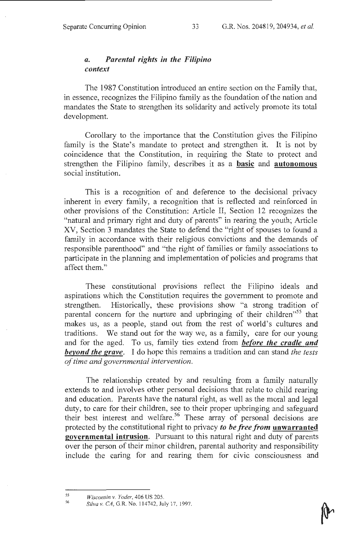# *a. Parental rights in the Filipino context*

The 1987 Constitution introduced an entire section on the Family that, in essence, recognizes the Filipino family as the foundation of the nation and mandates the State to strengthen its solidarity and actively promote its total development.

Corollary to the importance that the Constitution gives the Filipino family is the State's mandate to protect and strengthen it. It is not by coincidence that the Constitution, in requiring the State to protect and strengthen the Filipino family, describes it as a **basic** and **autonomous** social institution.

This is a recognition of and deference to the decisional privacy inherent in every family, a recognition that is reflected and reinforced in other provisions of the Constitution: Article II, Section 12 recognizes the "natural and primary right and duty of parents" in rearing the youth; Article XV, Section 3 mandates the State to defend the "right of spouses to found a family in accordance with their religious convictions and the demands of responsible parenthood" and "the right of families or family associations to participate in the planning and implementation of policies and programs that affect them."

These constitutional provisions reflect the Filipino ideals and aspirations which the Constitution requires the government to promote and strengthen. Historically, these provisions show "a strong tradition of parental concern for the nurture and upbringing of their children"<sup>55</sup> that makes us, as a people, stand out from the rest of world's cultures and traditions. We stand out for the way we, as a family, care for our young and for the aged. To us, family ties extend from *before the cradle and beyond the grave.* I do hope this remains a tradition and can stand *the tests of time and governmental intervention.* 

The relationship created by and resulting from a family naturally extends to and involves other personal decisions that relate to child rearing and education. Parents have the natural right, as well as the moral and legal duty, to care for their children, see to their proper upbringing and safeguard their best interest and welfare.<sup>56</sup> These array of personal decisions are protected by the constitutional right to privacy *to be free from* unwarranted governmental intrusion. Pursuant to this natural right and duty of parents over the person of their minor children, parental authority and responsibility include the caring for and rearing them for civic consciousness and

*<sup>55</sup>  Wisconsin* v. *Yoder,* 406 US 205.

*<sup>56</sup>  Silva* v. *CA ,* G.R. No. 114742, July 17, 1997.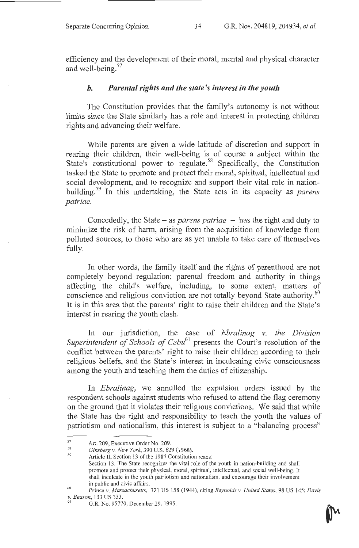efficiency and the development of their moral, mental and physical character and well-being.<sup>57</sup>

### *b. Parental rights and the state's interest in the youth*

The Constitution provides that the family's autonomy is not without limits since the State similarly has a role and interest in protecting children rights and advancing their welfare.

While parents are given a wide latitude of discretion and support in rearing their children, their well-being is of course a subject within the State's constitutional power to regulate.<sup>58</sup> Specifically, the Constitution tasked the State to promote and protect their moral, spiritual, intellectual and social development, and to recognize and support their vital role in nationbuilding. 59 In this undertaking, the State acts in its capacity as *parens patriae.* 

Concededly, the State - as *parens patriae* - has the right and duty to minimize the risk of harm, arising from the acquisition of knowledge from polluted sources, to those who are as yet unable to take care of themselves fully.

In other words, the family itself and the rights of parenthood are not completely beyond regulation; parental freedom and authority in things affecting the child's welfare, including, to some extent, matters of conscience and religious conviction are not totally beyond State authority.<sup>60</sup> It is in this area that the parents' right to raise their children and the State's interest in rearing the youth clash.

In our jurisdiction, the case of *Ebralinag* v. *the Division Superintendent of Schools of Cebu*<sup>61</sup> presents the Court's resolution of the conflict between the parents' right to raise their children according to their religious beliefs, and the State's interest in inculcating civic consciousness among the youth and teaching them the duties of citizenship.

In *Ebralinag,* we annulled the expulsion orders issued by the respondent schools against students who refused to attend the flag ceremony on the ground that it violates their religious convictions. We said that while the State has the right and responsibility to teach the youth the values of patriotism and nationalism, this interest is subject to a "balancing process"

<sup>57</sup>  Art. 209, Executive Order No. 209.

<sup>58</sup>  *Ginsberg v. New York,* 390 U.S. 629 (1968).

*<sup>59</sup>*  Article II, Section 13 of the 1987 Constitution reads:

Section 13. The State recognizes the vital role of the youth in nation-building and shall promote and protect their physical, moral, spiritual, intellectual, and social well-being. It shall inculcate in the youth patriotism and nationalism, and encourage their involvement in public and civic affairs. 60 *Prince v. Massachusetts,* 321 US 158 (1944), citing *Rey nolds v. United States,* 98 US 145; *Davis* 

*v. Beason,* 133 US 333.

<sup>61</sup>G.R. No. 95770, December 29, 1995.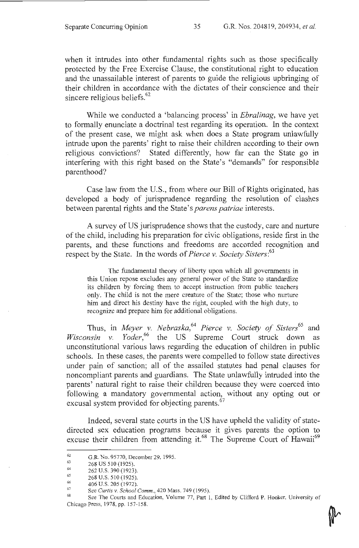when it intrudes into other fundamental rights such as those specifically protected by the Free Exercise Clause, the constitutional right to education and the unassailable interest of parents to guide the religious upbringing of their children in accordance with the dictates of their conscience and their sincere religious beliefs.<sup>62</sup>

While we conducted a 'balancing process' in *Ebralinag,* we have yet to formally enunciate a doctrinal test regarding its operation. In the context of the present case, we might ask when does a State program unlawfully intrude upon the parents' right to raise their children according to their own religious convictions? Stated differently, how far can the State go in interfering with this right based on the State's "demands" for responsible parenthood?

Case law from the U.S., from where our Bill of Rights originated, has developed a body of jurisprudence regarding the resolution of clashes between parental rights and the State's *parens patriae* interests.

A survey of US jurisprudence shows that the custody, care and nurture of the child, including his preparation for civic obligations, reside first in the parents, and these functions and freedoms are accorded recognition and respect by the State. In the words of *Pierce* v. *Society Sisters:<sup>63</sup>*

The fundamental theory of liberty upon which all governments in this Union repose excludes any general power of the State to standardize its children by forcing them to accept instruction from public teachers only. The child is not the mere creature of the State; those who nurture him and direct his destiny have the right, coupled with the high duty, to recognize and prepare him for additional obligations.

Thus, in *Meyer* v. *Nebraska,64 Pierce* v. *Society of Sisters65* and *Wisconsin v. Yoder*<sup>66</sup> the US Supreme Court struck down as unconstitutional various laws regarding the education of children in public schools. In these cases, the parents were compelled to follow state directives under pain of sanction; all of the assailed statutes had penal clauses for noncompliant parents and guardians. The State unlawfully intruded into the parents' natural right to raise their children because they were coerced into following a mandatory governmental action, without any opting out or excusal system provided for objecting parents.<sup>67</sup>

Indeed, several state courts in the US have upheld the validity of statedirected sex education programs because it gives parents the option to excuse their children from attending it.<sup>68</sup> The Supreme Court of Hawaii<sup>69</sup>

<sup>62</sup>  G.R. No. 95770, December 29, 1995.

<sup>63</sup>  268 US 510 (1925).

<sup>64</sup>  65 262 U.S. 390 (1923).

<sup>66</sup>  268 U.S. 510 (1925).

<sup>67</sup>  406 U.S. 205 (1972).<br>See Curtis v. School Comm., 420 Mass. 749 (1995).

<sup>&</sup>lt;sup>68</sup> See The Courts and Education, Volume 77, Part 1, Edited by Clifford P. Hooker, University of Chicago Press, 1978, pp. 157-158.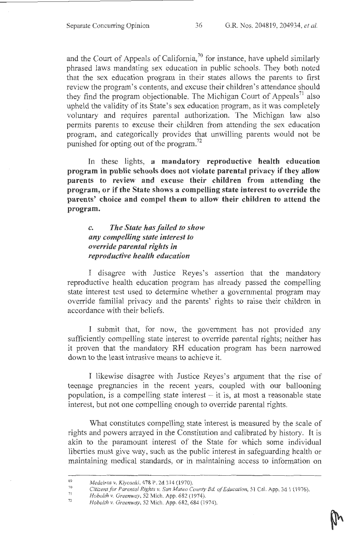and the Court of Appeals of California,<sup>70</sup> for instance, have upheld similarly phrased laws mandating sex education in public schools. They both noted that the sex education program in their states allows the parents to first review the program's contents, and excuse their children's attendance should they find the program objectionable. The Michigan Court of Appeals<sup>71</sup> also upheld the validity of its State's sex education program, as it was completely voluntary and requires parental authorization. The Michigan law also permits parents to excuse their children from attending the sex education program, and categorically provides that unwilling parents would not be punished for opting out of the program.<sup>72</sup>

In these lights, **a mandatory reproductive health education program in public schools does not violate parental privacy if they allow parents to review and excuse their children from attending the program, or if the State shows a compelling state interest to override the parents' choice and compel them to allow their children to attend the program.** 

# *c. The State has failed to show any compelling state interest to override parental rights in reproductive health education*

I disagree with Justice Reyes's assertion that the mandatory reproductive health education program has already passed the compelling state interest test used to determine whether a governmental program may override familial privacy and the parents' rights to raise their children in accordance with their beliefs.

I submit that, for now, the government has not provided any sufficiently compelling state interest to override parental rights; neither has it proven that the mandatory RH education program has been narrowed down to the least intrusive means to achieve it.

I likewise disagree with Justice Reyes's argument that the rise of teenage pregnancies in the recent years, coupled with our ballooning population, is a compelling state interest  $-$  it is, at most a reasonable state interest, but not one compelling enough to override parental rights.

What constitutes compelling state interest is measured by the scale of rights and powers arrayed in the Constitution and calibrated by history. It is akin to the paramount interest of the State for which some individual liberties must give way, such as the public interest in safeguarding health or maintaining medical standards, or in maintaining access to information on

<sup>69</sup>  *Medeiros v. Kiyosaki,* 478 P. 2d 314 (1970).

<sup>70</sup>  71 *Citizens for Parental Rights v. San Mateo County Bd of Education,* 51 Cal. App. 3d 1 ( 1976).

<sup>72</sup>  *Hobo/th v. Greenway,* 52 Mich. App. 682 (1974).

*Hobo/th v. Greenway,* 52 Mich. App. 682, 684 (1974).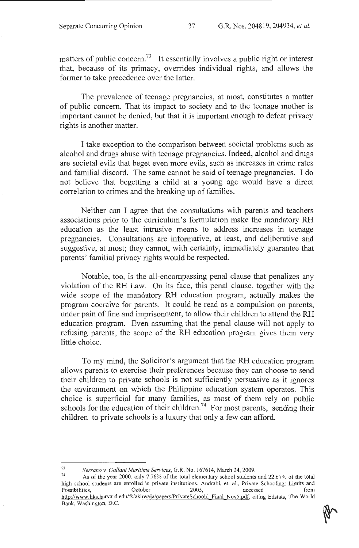matters of public concern.<sup>73</sup> It essentially involves a public right or interest that, because of its primacy, overrides individual rights, and allows the former to take precedence over the latter.

The prevalence of teenage pregnancies, at most, constitutes a matter of public concern. That its impact to society and to the teenage mother is important cannot be denied, but that it is important enough to defeat privacy rights is another matter.

I take exception to the comparison between societal problems such as alcohol and drugs abuse with teenage pregnancies. Indeed, alcohol and drugs are societal evils that beget even more evils, such as increases in crime rates and familial discord. The same cannot be said of teenage pregnancies. I do not believe that begetting a child at a young age would have a direct correlation to crimes and the breaking up of families.

Neither can I agree that the consultations with parents and teachers associations prior to the curriculum's fonnulation make the mandatory RH education as the least intrusive means to address increases in teenage pregnancies. Consultations are informative, at least, and deliberative and suggestive, at most; they cannot, with certainty, immediately guarantee that parents' familial privacy rights would be respected.

Notable, too, is the all-encompassing penal clause that penalizes any violation of the RH Law. On its face, this penal clause, together with the wide scope of the mandatory RH education program, actually makes the program coercive for parents. It could be read as a compulsion on parents, under pain of fine and imprisonment, to allow their children to attend the RH education program. Even assuming that the penal clause will not apply to refusing parents, the scope of the RH education program gives them very little choice.

To my mind, the Solicitor's argument that the RH education program allows parents to exercise their preferences because they can choose to send their children to private schools is not sufficiently persuasive as it ignores the environment on which the Philippine education system operates. This choice is superficial for many families, as most of them rely on public schools for the education of their children.<sup>74</sup> For most parents, sending their children to private schools is a luxury that only a few can afford.

<sup>&</sup>lt;sup>73</sup> Serrano v. Gallant Maritime Services, G.R. No. 167614, March 24, 2009.<br><sup>74</sup> As of the year 2000, only 7.76% of the total elementary school students and 22.67% of the total

high school students are enrolled in private institutions. Andrabi, et. al., Private Schooling: Limits and<br>
Possibilities, October 2005, accessed from Possibilities, Corober 2005, accessed from http://www.hks.harvard.edu/fs/akhwaja/papers/PrivateSchoold Final Nov5.pdf, citing Edstats, The World Bank, Washington, D.C.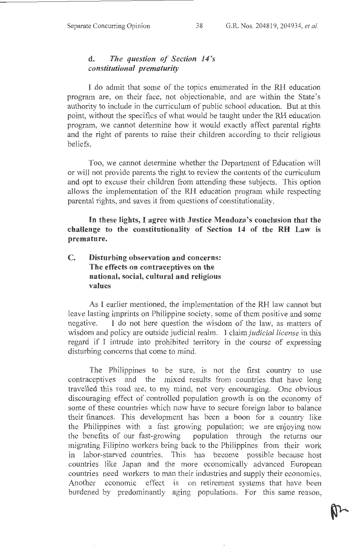### **d.** *The question of Section 14's constitutional prematurity*

I do admit that some of the topics enumerated in the RH education program are, on their face, not objectionable, and are within the State's authority to include in the curriculum of public school education. But at this point, without the specifics of what would be taught under the **RH** education program, we cannot determine how it would exactly affect parental rights and the right of parents to raise their children according to their religious beliefs.

Too, we cannot determine whether the Department of Education will or will not provide parents the right to review the contents of the curriculum and opt to excuse their children from attending these subjects. This option allows the implementation of the **RH** education program while respecting parental rights, and saves it from questions of constitutionality.

**In these lights, I agree with Justice Mendoza's conclusion that the challenge to the constitutionality of Section 14 of the RH Law is premature.** 

# **C. Disturbing observation and concerns: The effects on contraceptives on the national, social, cultural and religious values**

As I earlier mentioned, the implementation of the RH law cannot but leave lasting imprints on Philippine society, some of them positive and some negative. I do not here question the wisdom of the law, as matters of wisdom and policy are outside judicial realm. I claim *judicial license* in this regard if I intrude into prohibited territory in the course of expressing disturbing concerns that come to mind.

The Philippines to be sure, is not the first country to use contraceptives and the mixed results from countries that have long travelled this road are, to my mind, not very encouraging. One obvious discouraging effect of controlled population growth is on the economy of some of these countries which now have to secure foreign labor to balance their finances. This development has been a boon for a country like the Philippines with a fast growing population; we are enjoying now the benefits of our fast-growing population through the returns our migrating Filipino workers bring back to the Philippines from their work m labor-starved countries. This has become possible because host countries like Japan and the more economically advanced European countries need workers to man their industries and supply their economies. Another economic effect is on retirement systems that have been burdened by predominantly aging populations. For this same reason,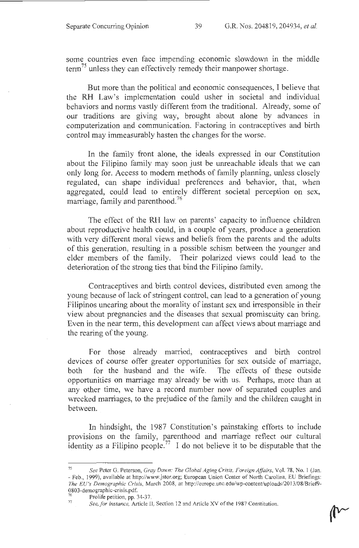some countries even face impending economic slowdown in the middle  $term<sup>75</sup>$  unless they can effectively remedy their manpower shortage.

But more than the political and economic consequences, I believe that the RH Law's implementation could usher in societal and individual behaviors and norms vastly different from the traditional. Already, some of our traditions are giving way, brought about alone by advances in computerization and communication. Factoring in contraceptives and birth control may immeasurably hasten the changes for the worse.

In the family front alone, the ideals expressed in our Constitution about the Filipino family may soon just be unreachable ideals that we can only long for. Access to modem methods of family planning, unless closely regulated, can shape individual preferences and behavior, that, when aggregated, could lead to entirely different societal perception on sex, marriage, family and parenthood. 76

The effect of the RH law on parents' capacity to influence children about reproductive health could, in a couple of years, produce a generation with very different moral views and beliefs from the parents and the adults of this generation, resulting in a possible schism between the younger and elder members of the family. Their polarized views could lead to the deterioration of the strong ties that bind the Filipino family.

Contraceptives and birth control devices, distributed even among the young because of lack of stringent control, can lead to a generation of young Filipinos uncaring about the morality of instant sex and irresponsible in their view about pregnancies and the diseases that sexual promiscuity can bring. Even in the near term, this development can affect views about marriage and the rearing of the young.

For those already married, contraceptives and birth control devices of course offer greater opportunities for sex outside of marriage, both for the husband and the wife. The effects of these outside opportunities on marriage may already be with us. Perhaps, more than at any other time, we have a record number now of separated couples and wrecked marriages, to the prejudice of the family and the children caught in between.

In hindsight, the 1987 Constitution's painstaking efforts to include provisions on the family, parenthood and marriage reflect our cultural identity as a Filipino people.<sup>77</sup> I do not believe it to be disputable that the

<sup>75</sup>*See* Peter G. Peterson, *Gray Dawn: The Global Aging Crisis, Foreign Affairs,* Vol. 78, No. I (Jan. - Feb., 1999), available at http://www.jstor.org; European Union Center of North Carolina, EU Briefings: *The EU's Demographic Crisis,* March 2008, at http://europe.unc.edu/wp-content/uploads/20 13/08/Brief9- 0803-demographic-crisis.pdf.

<sup>&</sup>lt;sup>76</sup> Pro life petition, pp. 34-37.<br><sup>77</sup> *See, for instance,* Article II, Section 12 and Article XV of the 1987 Constitution.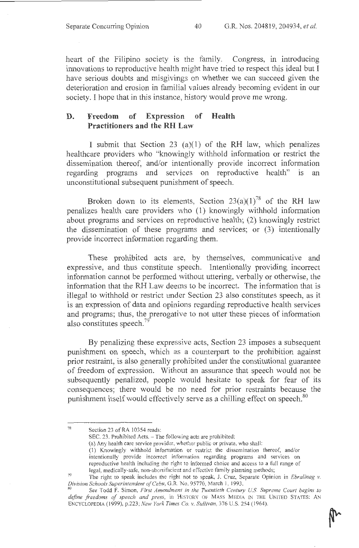heart of the Filipino society is the family. Congress, in introducing innovations to reproductive health might have tried to respect this ideal but I have serious doubts and misgivings on whether we can succeed given the deterioration and erosion in familial values already becoming evident in our society. I hope that in this instance, history would prove me wrong.

### **D. Freedom of Expression of Health Practitioners and the RH** Law

I submit that Section 23 (a)(l) of the RH law, which penalizes healthcare providers who "knowingly withhold information or restrict the dissemination thereof, and/or intentionally provide incorrect information regarding programs and services on reproductive health" is an unconstitutional subsequent punishment of speech.

Broken down to its elements, Section  $23(a)(1)^{78}$  of the RH law penalizes health care providers who (1) knowingly withhold information about programs and services on reproductive health; (2) knowingly restrict the dissemination of these programs and services; or (3) intentionally provide incorrect information regarding them.

These prohibited acts are, by themselves, communicative and expressive, and thus constitute speech. Intentionally providing incorrect information cannot be performed without uttering, verbally or otherwise, the information that the RH Law deems to be incorrect. The information that is illegal to withhold or restrict under Section 23 also constitutes speech, as it is an expression of data and opinions regarding reproductive health services and programs; thus, the prerogative to not utter these pieces of information also constitutes speech. $^{79}$ 

By penalizing these expressive acts, Section 23 imposes a subsequent punishment on speech, which as a counterpart to the prohibition against prior restraint, is also generally prohibited under the constitutional guarantee of freedom of expression. Without an assurance that speech would not be subsequently penalized, people would hesitate to speak for fear of its consequences; there would be no need for prior restraints because the punishment itself would effectively serve as a chilling effect on speech.<sup>80</sup>

SEC. 23. Prohibited Acts. - The following acts are prohibited:

(a) Any health care service provider, whether public or private, who shall:

(I) Knowingly withhold information or restrict the dissemination thereof, and/or intentionally provide incorrect information regarding programs and services on reproductive health including the right to informed choice and access to a ful l range of legal, medically-safe, non-abonifacient and effective family planning methods;

<sup>78</sup>  Section 23 of RA 10354 reads:

<sup>79</sup>  The right to speak inciudes the right not to speak, J. Cruz, Separate Opinion in *Ebralinag v. Division Schools Superintendent of Cebu, G.R. No. 95770, March 1, 1993.*<br><sup>80</sup> *See Todd F. Simon, First Amendment in the Twentieth Century U.S. Supreme Court begins to* 

define freedoms of speech and press, in HISTORY OF MASS MEDIA IN THE UNITED STATES: AN ENCYCLOPEDIA (1999), p.223; *New York Times Co. v. Sullivan,* 376 U.S. 254 (1964).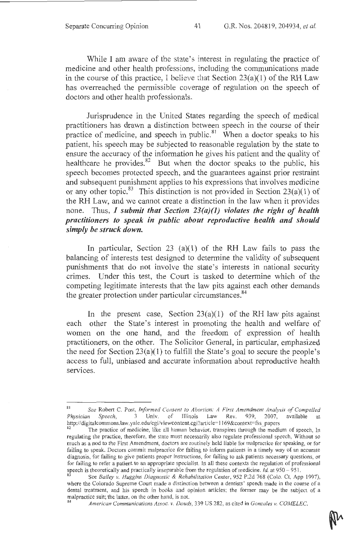While I am aware of the state's interest in regulating the practice of medicine and other health professions, including the communications made in the course of this practice, I beiieve that Section 23(a)(l) of the **RH** Law has overreached the permissible coverage of regulation on the speech of doctors and other health professionals.

Jurisprudence in the United States regarding the speech of medical practitioners has drawn a distinction between speech in the course of their practice of medicine, and speech in public.<sup>81</sup> When a doctor speaks to his patient, his speech may be subjected to reasonable regulation by the state to ensure the accuracy of the information he gives his patient and the quality of healthcare he provides.<sup>82</sup> But when the doctor speaks to the public, his speech becomes protected speech, and the guarantees against prior restraint and subsequent punishment applies to his expressions that involves medicine or any other topic.<sup>83</sup> This distinction is not provided in Section 23(a)(1) of the RH Law, and we cannot create a distinction in the law when it provides none. Thus, I *submit that Section 23(a)(J) violates the right of health practitioners to speak in public about reproductive health and should simply be struck down.* 

In particular, Section 23 (a)(1) of the RH Law fails to pass the balancing of interests test designed to determine the validity of subsequent punishments that do not involve the state's interests in national security crimes. Under this test, the Court is tasked to determine which of the competing legitimate interests that the law pits against each other demands the greater protection under particular circumstances.<sup>84</sup>

In the present case, Section  $23(a)(1)$  of the RH law pits against each other the State's interest in promoting the health and welfare of women on the one hand, and the freedom of expression of health practitioners, on the other. The Solicitor General, in particular, emphasized the need for Section  $23(a)(1)$  to fulfill the State's goal to secure the people's access to full, unbiased and accurate information about reproductive health services.

<sup>81</sup>*See* Robert C. Post, *Informed Consent to Abortion: A First Amendment Analysis of Compelled Physician Speech,* 3 Univ. of Illinois Law Rev. 939, 2007, available at http://digitalcommons.law.yale.edu/cgi/viewcontent.cgi?article=1169&context=fss\_papers

The practice of medicine, like all human behavior, transpires through the medium of speech, In regulating the practice, therefore, the state must necessarily also regulate professional speech, Without so much as a nod to the First Amendment, doctors are routinely held liable for malpractice for speaking, or for failing to speak. Doctors commit malpractice for failing to inform patients in a timely way of an accurate diagnosis, for failing to give patients proper instructions, for failing to ask patients necessary questions, or for failing to refer a patient to an appropriate specialist. !n all these contexts the regulation of professional speech is theoretically and practically inseparable from the regulation of medicine. *Id.* at 950 - 951.

<sup>8</sup> See *Bailey v. Huggins Diagnostic* & *Rehabilitation Center,* 952 P.2d 768 (Colo. Ct, App 1997), where the Colorado Supreme Court made a distinction between a dentists' speech made in the course of a dental treatment, and his speech in books and opinion articles; the former may be the subject of a malpractice suit; the latter, on the other hand, is not.<br><sup>84</sup> *American Communications Assoc. v. Douds*, 339 US 282, as cited in *Gonzales v. COMELEC*.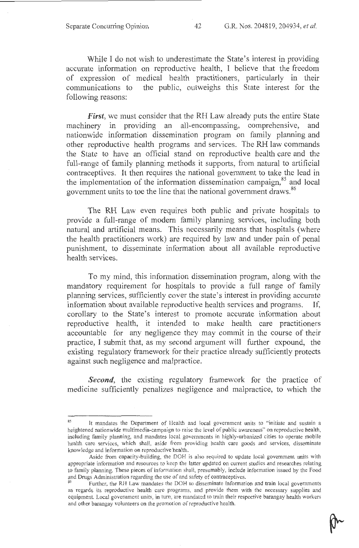While I do not wish to underestimate the State's interest in providing accurate information on reproductive health, I believe that the freedom of expression of medical health practitioners, particularly in their communications to the public, outweighs this State interest for the following reasons:

*First*, we must consider that the RH Law already puts the entire State machinery in providing an all-encompassing, comprehensive, and nationwide information dissemination program on family planning and other reproductive health programs and services. The RH law commands the State to have an official stand on reproductive health care and the full-range of family planning methods it supports, from natural to artificial contraceptives. It then requires the national government to take the lead in the implementation of the information dissemination campaign,<sup>85</sup> and local government units to toe the line that the national government draws. <sup>86</sup>

The RH Law even requires both public and private hospitals to provide a full-range of modem family planning services, including both natural and artificial means. This necessarily means that hospitals (where the health practitioners work) are required by law and under pain of penal punishment, to disseminate information about all available reproductive health services.

To my mind, this information dissemination program, along with the mandatory requirement for hospitals to provide a full range of family planning services, sufficiently cover the state's interest in providing accurate information about available reproductive health services and programs. If, corollary to the State's interest to promote accurate information about reproductive health, it intended to make health care practitioners accountable for any negligence they may commit in the course of their practice, I submit that, as my second argument will further expound, the existing regulatory framework for their practice already sufficiently protects against such negligence and malpractice.

*Second*, the existing regulatory framework for the practice of medicine sufficiently penalizes negligence and malpractice, to which the

<sup>&</sup>lt;sup>85</sup> It mandates the Department of Health and local government units to "initiate and sustain a heightened nationwide multimedia-campaign to raise the ievel of public awareness" on reproductive health, including family planning, and mandates local governments in highly-urbanized cities to operate mobile health care services, which shal!, aside from providing health care goods and services, disseminate knowledge and information on reproductive health.

Aside from capacity-building, the DOH is also required to update local govemment units with appropriate information and resources to keep the latter updated on current studies and researches relating to family planning. These pieces of information shall, presumably, include information issued by the Food and Drugs Administration regarding the use of and safety of contraceptives.<br><sup>86</sup> Further, the RH Law mandates the DOH to disseminate information and train local governments

as regards its reproductive health care programs, and provide them with the necessary supplies and equipment. Local government units, in tum, are mandated to train their respective barangay health workers and other barangay volunteers on the promotion of reproductive health.